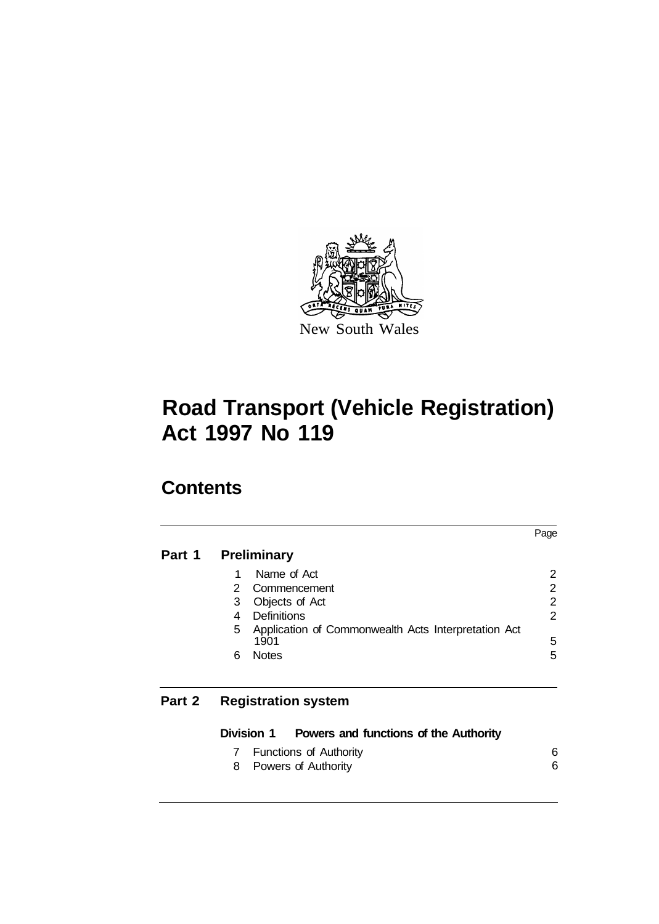

# **Contents**

|        |    |                                                             | Page           |
|--------|----|-------------------------------------------------------------|----------------|
| Part 1 |    | <b>Preliminary</b>                                          |                |
|        | 1  | Name of Act                                                 | 2              |
|        | 2. | Commencement                                                | 2              |
|        | 3  | Objects of Act                                              | $\overline{2}$ |
|        | 4  | Definitions                                                 | 2              |
|        | 5  | Application of Commonwealth Acts Interpretation Act<br>1901 | 5              |
|        | 6  | <b>Notes</b>                                                | 5              |
| Part 2 |    | <b>Registration system</b>                                  |                |

#### **Division 1 Powers and functions of the Authority**  7 Functions of Authority 8 Powers of Authority 6 6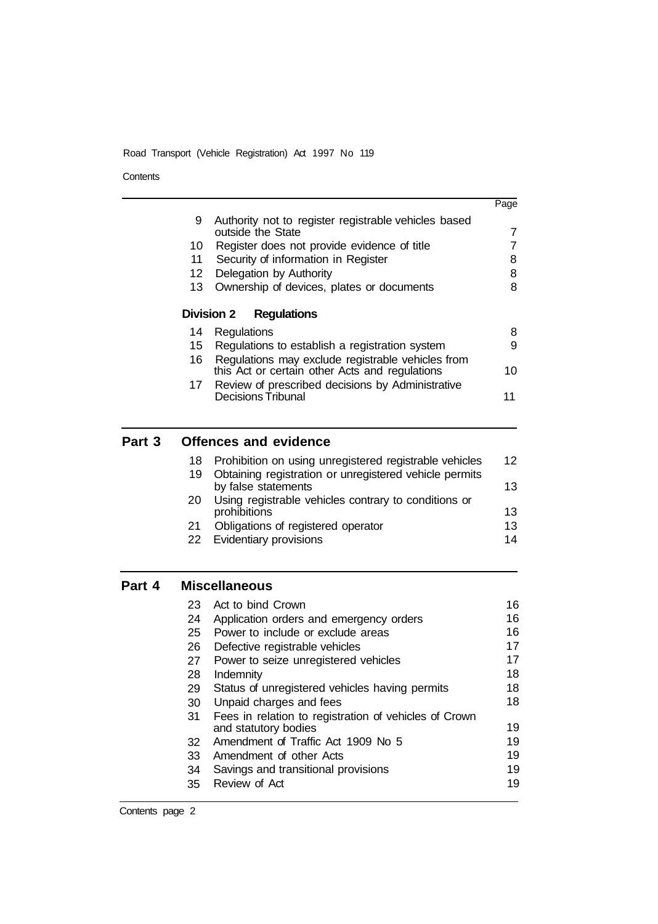**Contents** 

| Part 3 |     | <b>Offences and evidence</b>                                              |      |
|--------|-----|---------------------------------------------------------------------------|------|
|        |     |                                                                           |      |
|        | 17  | Review of prescribed decisions by Administrative<br>Decisions Tribunal    | 11   |
|        |     | this Act or certain other Acts and regulations                            | 10   |
|        | 16  | Regulations may exclude registrable vehicles from                         |      |
|        | 15  | Regulations to establish a registration system                            | 9    |
|        | 14  | Regulations                                                               | 8    |
|        |     | Division 2<br><b>Regulations</b>                                          |      |
|        | 13  | Ownership of devices, plates or documents                                 | 8    |
|        | 12  | Delegation by Authority                                                   | 8    |
|        | 11  | Security of information in Register                                       | 8    |
|        | 10. | Register does not provide evidence of title                               | 7    |
|        | 9   | Authority not to register registrable vehicles based<br>outside the State | 7    |
|        |     |                                                                           | Page |
|        |     |                                                                           |      |

|                                                                               | 12                                                        |
|-------------------------------------------------------------------------------|-----------------------------------------------------------|
| Obtaining registration or unregistered vehicle permits<br>by false statements | 13                                                        |
| Using registrable vehicles contrary to conditions or<br>prohibitions          | 13                                                        |
| Obligations of registered operator                                            | 13                                                        |
| Evidentiary provisions                                                        | 14                                                        |
|                                                                               | 18 Prohibition on using unregistered registrable vehicles |

# **Part 4 Miscellaneous**

| 23 | Act to bind Crown                                     | 16 |
|----|-------------------------------------------------------|----|
| 24 | Application orders and emergency orders               | 16 |
| 25 | Power to include or exclude areas                     | 16 |
| 26 | Defective registrable vehicles                        | 17 |
| 27 | Power to seize unregistered vehicles                  | 17 |
| 28 | Indemnity                                             | 18 |
| 29 | Status of unregistered vehicles having permits        | 18 |
| 30 | Unpaid charges and fees                               | 18 |
| 31 | Fees in relation to registration of vehicles of Crown |    |
|    | and statutory bodies                                  | 19 |
| 32 | Amendment of Traffic Act 1909 No 5                    | 19 |
| 33 | Amendment of other Acts                               | 19 |
| 34 | Savings and transitional provisions                   | 19 |
| 35 | Review of Act                                         | 19 |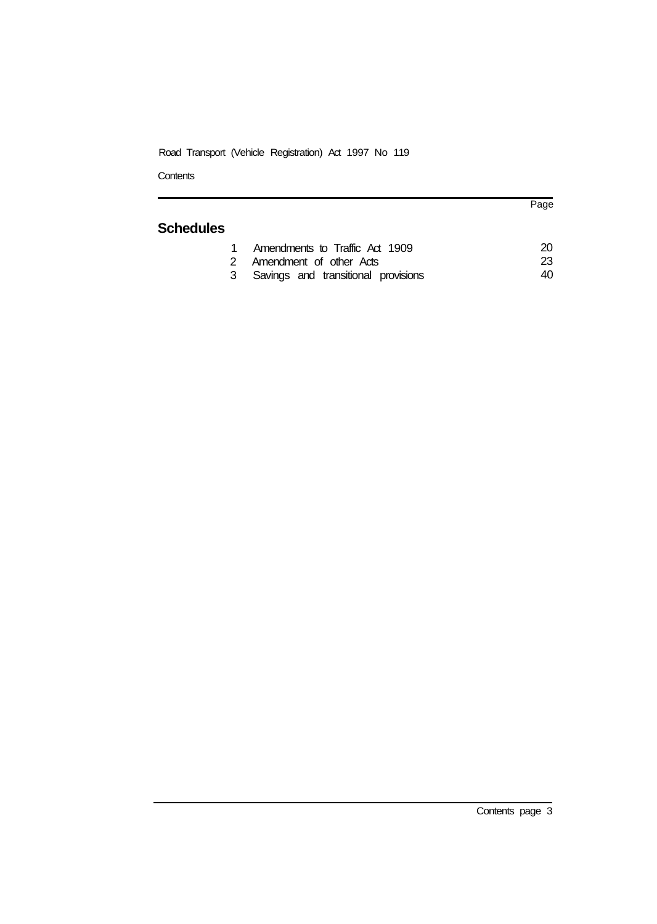**Contents** 

# **Schedules**

| 1 Amendments to Traffic Act 1909      | 20 |
|---------------------------------------|----|
| 2 Amendment of other Acts             | 23 |
| 3 Savings and transitional provisions | 40 |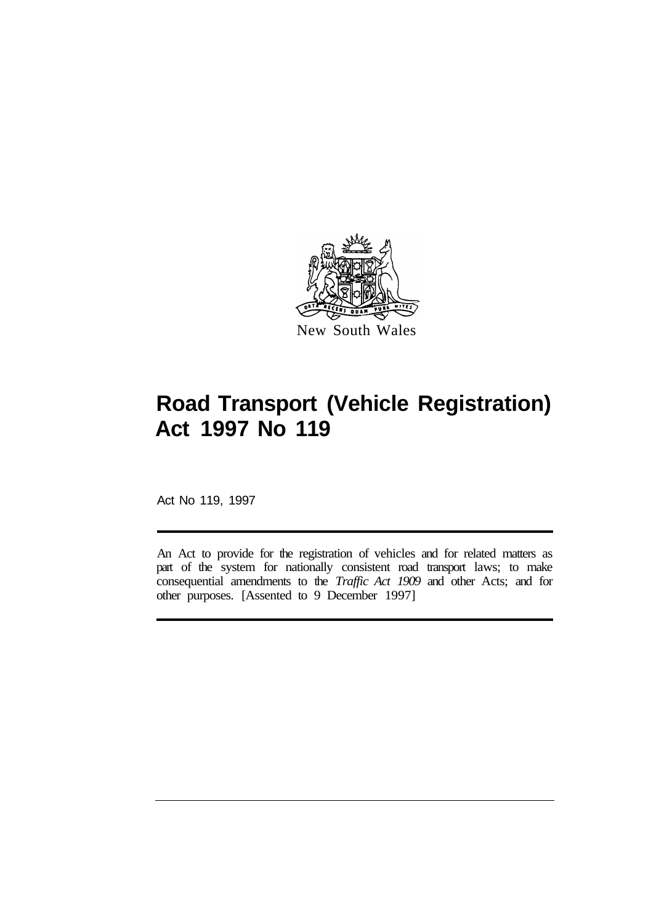

Act No 119, 1997

An Act to provide for the registration of vehicles and for related matters as part of the system for nationally consistent road transport laws; to make consequential amendments to the *Traffic Act 1909* and other Acts; and for other purposes. [Assented to 9 December 1997]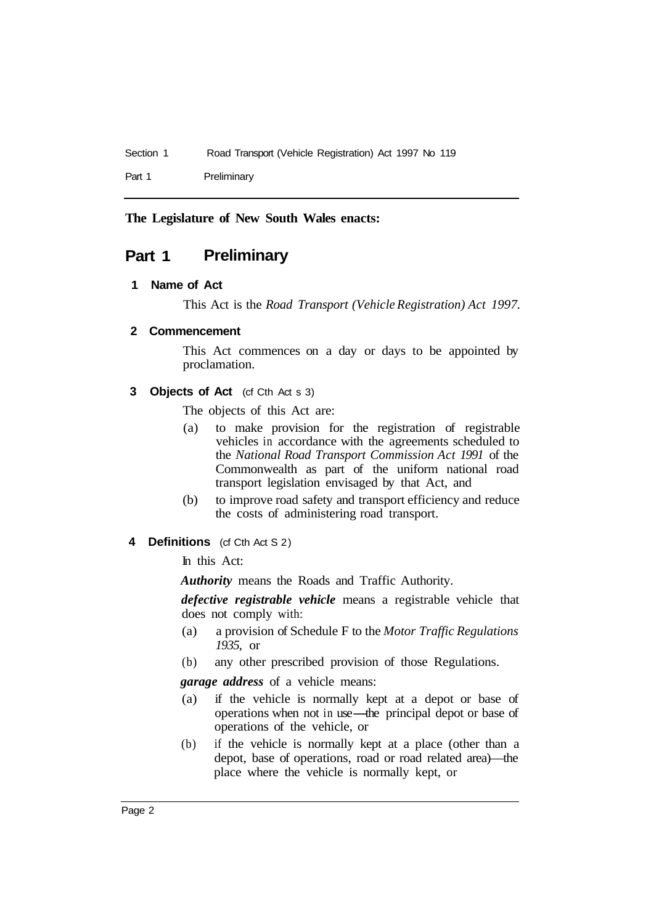Part 1 Preliminary

**The Legislature of New South Wales enacts:** 

# **Part 1 Preliminary**

### **1 Name of Act**

This Act is the *Road Transport (Vehicle Registration) Act 1997.* 

### **2 Commencement**

This Act commences on a day or days to be appointed by proclamation.

### **3 Objects of Act** (cf Cth Act s 3)

The objects of this Act are:

- (a) to make provision for the registration of registrable vehicles in accordance with the agreements scheduled to the *National Road Transport Commission Act 1991* of the Commonwealth as part of the uniform national road transport legislation envisaged by that Act, and
- (b) to improve road safety and transport efficiency and reduce the costs of administering road transport.
- **4 Definitions** (cf Cth Act S 2)

In this Act:

*Authority* means the Roads and Traffic Authority.

*defective registrable vehicle* means a registrable vehicle that does not comply with:

- (a) a provision of Schedule F to the *Motor Traffic Regulations 1935,* or
- (b) any other prescribed provision of those Regulations.

*garage address* of a vehicle means:

- (a) if the vehicle is normally kept at a depot or base of operations when not in use—the principal depot or base of operations of the vehicle, or
- (b) if the vehicle is normally kept at a place (other than a depot, base of operations, road or road related area)—the place where the vehicle is normally kept, or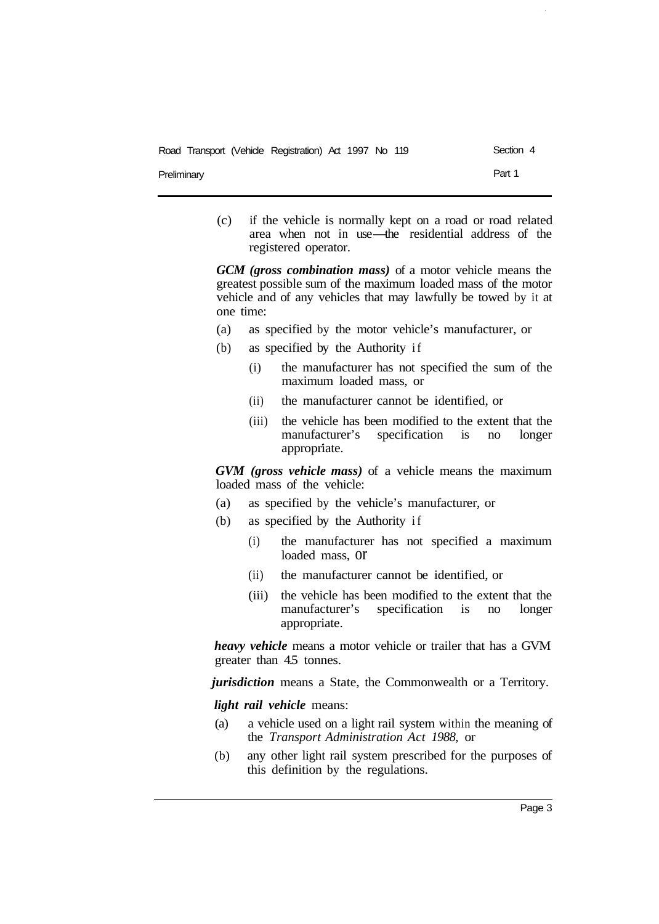**Preliminary** 

(c) if the vehicle is normally kept on a road or road related area when not in use-the residential address of the registered operator.

*GCM (gross combination mass)* of a motor vehicle means the greatest possible sum of the maximum loaded mass of the motor vehicle and of any vehicles that may lawfully be towed by it at one time:

- (a) as specified by the motor vehicle's manufacturer, or
- (b) as specified by the Authority if
	- maximum loaded mass, or (i) the manufacturer has not specified the sum of the
	- (ii) the manufacturer cannot be identified, or
	- (iii) the vehicle has been modified to the extent that the manufacturer's specification is no longer appropriate.

*GVM (gross vehicle mass)* of a vehicle means the maximum loaded mass of the vehicle:

- (a) as specified by the vehicle's manufacturer, or
- (b) as specified by the Authority if
	- (i) the manufacturer has not specified a maximum loaded mass, or
	- (ii) the manufacturer cannot be identified, or
	- (iii) the vehicle has been modified to the extent that the manufacturer's specification is no longer appropriate.

*heavy vehicle* means a motor vehicle or trailer that has a GVM greater than 4.5 tonnes.

*jurisdiction* means a State, the Commonwealth or a Territory.

*light rail vehicle* means:

- (a) a vehicle used on a light rail system within the meaning of the *Transport Administration Act 1988,* or
- (b) any other light rail system prescribed for the purposes of this definition by the regulations.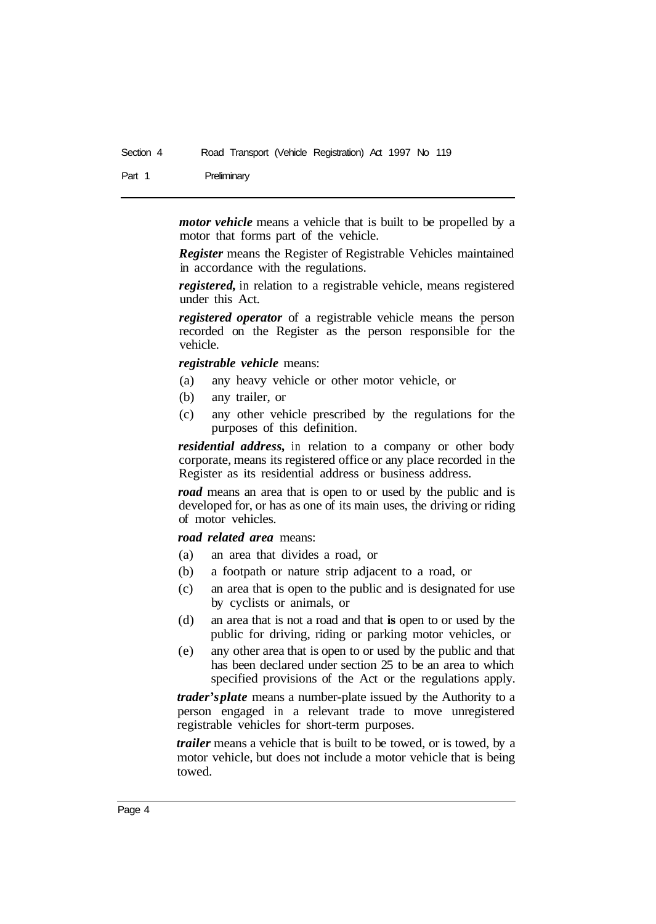Part 1 Preliminary

*motor vehicle* means a vehicle that is built to be propelled by a motor that forms part of the vehicle.

*Register* means the Register of Registrable Vehicles maintained in accordance with the regulations.

*registered,* in relation to a registrable vehicle, means registered under this Act.

*registered operator* of a registrable vehicle means the person recorded on the Register as the person responsible for the vehicle.

*registrable vehicle* means:

- (a) any heavy vehicle or other motor vehicle, or
- (b) any trailer, or
- (c) any other vehicle prescribed by the regulations for the purposes of this definition.

*residential address,* in relation to a company or other body corporate, means its registered office or any place recorded in the Register as its residential address or business address.

*road* means an area that is open to or used by the public and is developed for, or has as one of its main uses, the driving or riding of motor vehicles.

*road related area* means:

- (a) an area that divides a road, or
- (b) a footpath or nature strip adjacent to a road, or
- (c) an area that is open to the public and is designated for use by cyclists or animals, or
- (d) an area that is not a road and that **is** open to or used by the public for driving, riding or parking motor vehicles, or
- (e) any other area that is open to or used by the public and that has been declared under section 25 to be an area to which specified provisions of the Act or the regulations apply.

*trader's plate* means a number-plate issued by the Authority to a person engaged in a relevant trade to move unregistered registrable vehicles for short-term purposes.

*trailer* means a vehicle that is built to be towed, or is towed, by a motor vehicle, but does not include a motor vehicle that is being towed.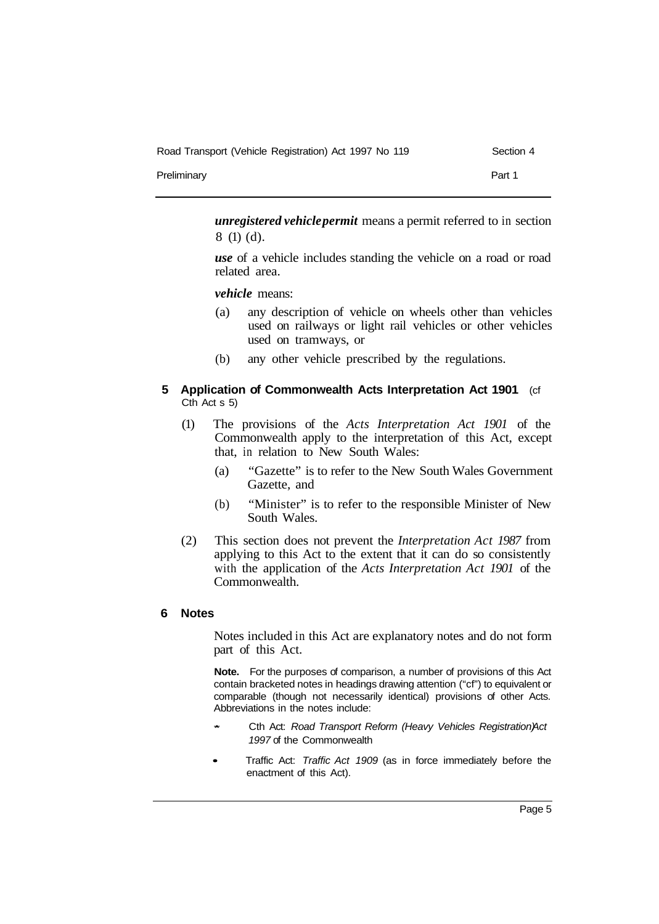| Road Transport (Vehicle Registration) Act 1997 No 119 | Section 4 |
|-------------------------------------------------------|-----------|
| Preliminary                                           | Part 1    |

*unregistered vehicle permit* means a permit referred to in section 8 (1) (d).

*use* of a vehicle includes standing the vehicle on a road or road related area.

*vehicle* means:

- (a) any description of vehicle on wheels other than vehicles used on railways or light rail vehicles or other vehicles used on tramways, or
- (b) any other vehicle prescribed by the regulations.
- **5 Application of Commonwealth Acts Interpretation Act 1901** (cf Cth Act s 5)
	- (1) The provisions of the *Acts Interpretation Act 1901* of the Commonwealth apply to the interpretation of this Act, except that, in relation to New South Wales:
		- (a) "Gazette" is to refer to the New South Wales Government Gazette, and
		- (b) "Minister" is to refer to the responsible Minister of New South Wales.
	- (2) This section does not prevent the *Interpretation Act 1987* from applying to this Act to the extent that it can do so consistently with the application of the *Acts Interpretation Act 1901* of the Commonwealth.

# **6 Notes**

Notes included in this Act are explanatory notes and do not form part of this Act.

**Note.** For the purposes of comparison, a number of provisions of this Act contain bracketed notes in headings drawing attention ("cf") to equivalent or comparable (though not necessarily identical) provisions of other Acts. Abbreviations in the notes include:

- *\** Cth Act: *Road Transport Reform (Heavy Vehicles Registration) Act 1997* of the Commonwealth
- Traffic Act: *Traffic Act 1909* (as in force immediately before the enactment of this Act).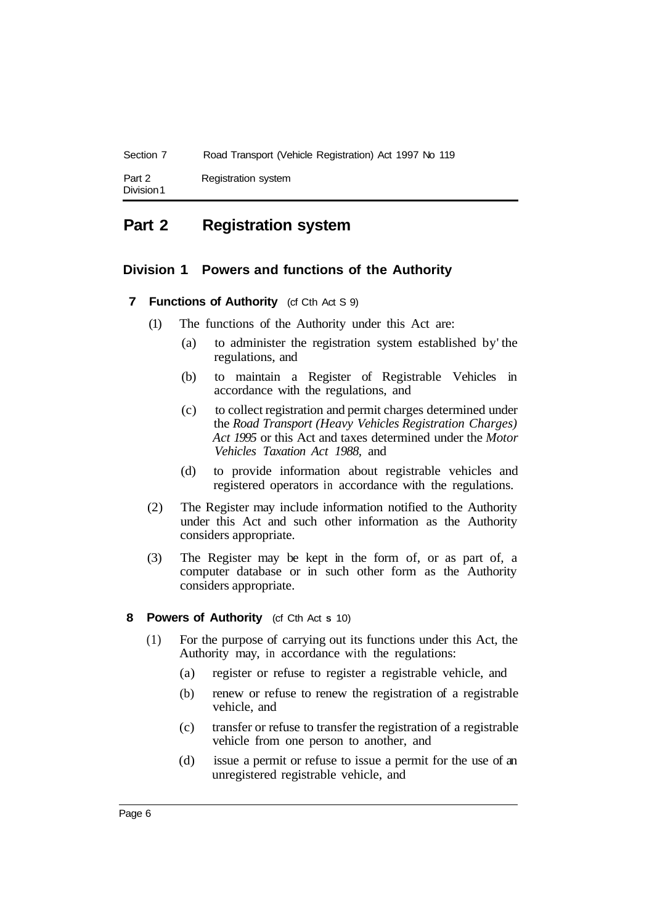| Section 7            | Road Transport (Vehicle Registration) Act 1997 No 119 |
|----------------------|-------------------------------------------------------|
| Part 2<br>Division 1 | Registration system                                   |

# **Part 2 Registration system**

# **Division 1 Powers and functions of the Authority**

### **7 Functions of Authority** (cf Cth Act S 9)

- (1) The functions of the Authority under this Act are:
	- (a) to administer the registration system established by' the regulations, and
	- (b) to maintain a Register of Registrable Vehicles in accordance with the regulations, and
	- (c) to collect registration and permit charges determined under the *Road Transport (Heavy Vehicles Registration Charges) Act 1995* or this Act and taxes determined under the *Motor Vehicles Taxation Act 1988,* and
	- (d) to provide information about registrable vehicles and registered operators in accordance with the regulations.
- (2) The Register may include information notified to the Authority under this Act and such other information as the Authority considers appropriate.
- (3) The Register may be kept in the form of, or as part of, a computer database or in such other form as the Authority considers appropriate.

### **8 Powers of Authority** (cf Cth Act **S** 10)

- (1) For the purpose of carrying out its functions under this Act, the Authority may, in accordance with the regulations:
	- (a) register or refuse to register a registrable vehicle, and
	- (b) renew or refuse to renew the registration of a registrable vehicle, and
	- (c) transfer or refuse to transfer the registration of a registrable vehicle from one person to another, and
	- (d) issue a permit or refuse to issue a permit for the use of an unregistered registrable vehicle, and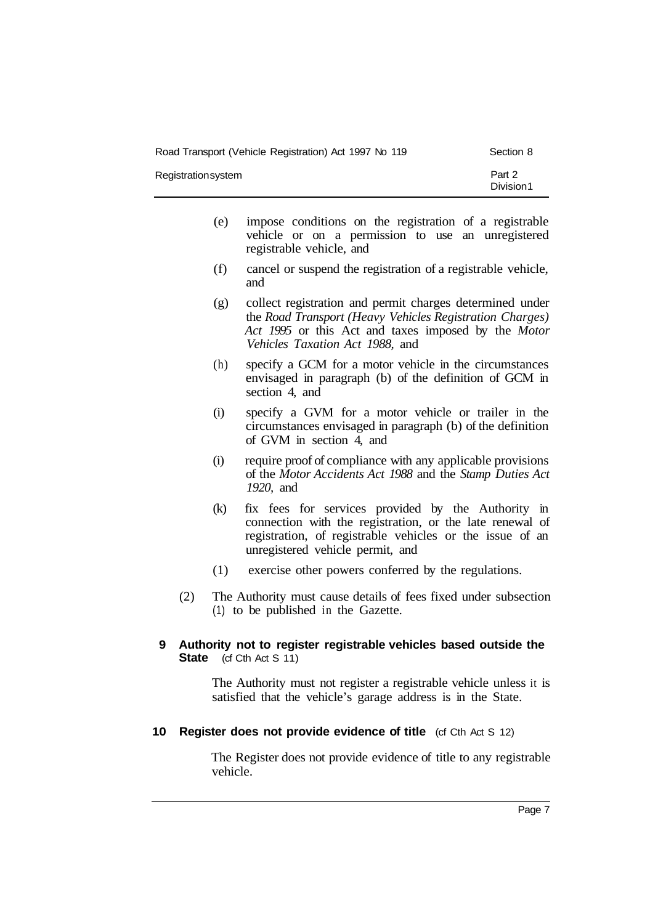| Road Transport (Vehicle Registration) Act 1997 No 119 | Section 8           |
|-------------------------------------------------------|---------------------|
| Registrationsystem                                    | Part 2<br>Division1 |

- (e) impose conditions on the registration of a registrable vehicle or on a permission to use an unregistered registrable vehicle, and
- (f) cancel or suspend the registration of a registrable vehicle, and
- (g) collect registration and permit charges determined under the *Road Transport (Heavy Vehicles Registration Charges) Act 1995* or this Act and taxes imposed by the *Motor Vehicles Taxation Act 1988,* and
- (h) specify a GCM for a motor vehicle in the circumstances envisaged in paragraph (b) of the definition of GCM in section 4, and
- (i) specify a GVM for a motor vehicle or trailer in the circumstances envisaged in paragraph (b) of the definition of GVM in section 4, and
- (i) require proof of compliance with any applicable provisions of the *Motor Accidents Act 1988* and the *Stamp Duties Act 1920,* and
- (k) fix fees for services provided by the Authority in connection with the registration, or the late renewal of registration, of registrable vehicles or the issue of an unregistered vehicle permit, and
- (1) exercise other powers conferred by the regulations.
- (2) The Authority must cause details of fees fixed under subsection (1) to be published in the Gazette.

### **9 Authority not to register registrable vehicles based outside the State** (cf Cth Act S 11)

The Authority must not register a registrable vehicle unless it is satisfied that the vehicle's garage address is in the State.

### **10 Register does not provide evidence of title** (cf Cth Act S 12)

The Register does not provide evidence of title to any registrable vehicle.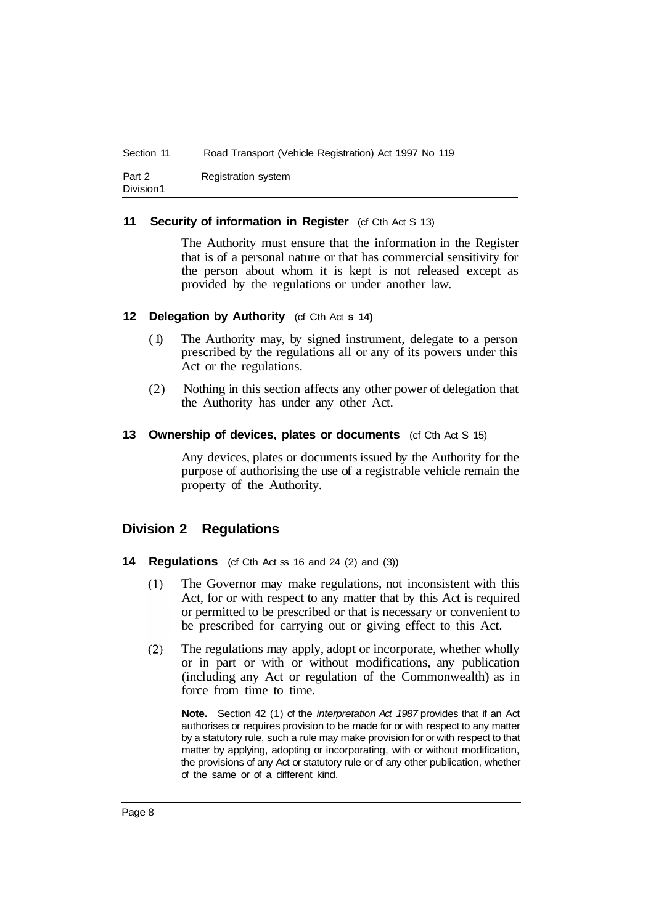| Section 11          | Road Transport (Vehicle Registration) Act 1997 No 119 |
|---------------------|-------------------------------------------------------|
| Part 2<br>Division1 | Registration system                                   |

### **11 Security of information in Register** (cf Cth Act S 13)

The Authority must ensure that the information in the Register that is of a personal nature or that has commercial sensitivity for the person about whom it is kept is not released except as provided by the regulations or under another law.

### **12 Delegation by Authority** (cf Cth Act **s 14)**

- ( 1) The Authority may, by signed instrument, delegate to a person prescribed by the regulations all or any of its powers under this Act or the regulations.
- (2) Nothing in this section affects any other power of delegation that the Authority has under any other Act.

### **13 Ownership of devices, plates or documents** (cf Cth Act S 15)

Any devices, plates or documents issued by the Authority for the purpose of authorising the use of a registrable vehicle remain the property of the Authority.

# **Division 2 Regulations**

- **14 Regulations** (cf Cth Act ss 16 and 24 (2) and (3))
	- The Governor may make regulations, not inconsistent with this  $(1)$ Act, for or with respect to any matter that by this Act is required or permitted to be prescribed or that is necessary or convenient to be prescribed for carrying out or giving effect to this Act.
	- The regulations may apply, adopt or incorporate, whether wholly  $(2)$ or in part or with or without modifications, any publication (including any Act or regulation of the Commonwealth) as in force from time to time.

**Note.** Section 42 (1) of the *interpretation Act 1987* provides that if an Act authorises or requires provision to be made for or with respect to any matter by a statutory rule, such a rule may make provision for or with respect to that matter by applying, adopting or incorporating, with or without modification, the provisions of any Act or statutory rule or of any other publication, whether of the same or of a different kind.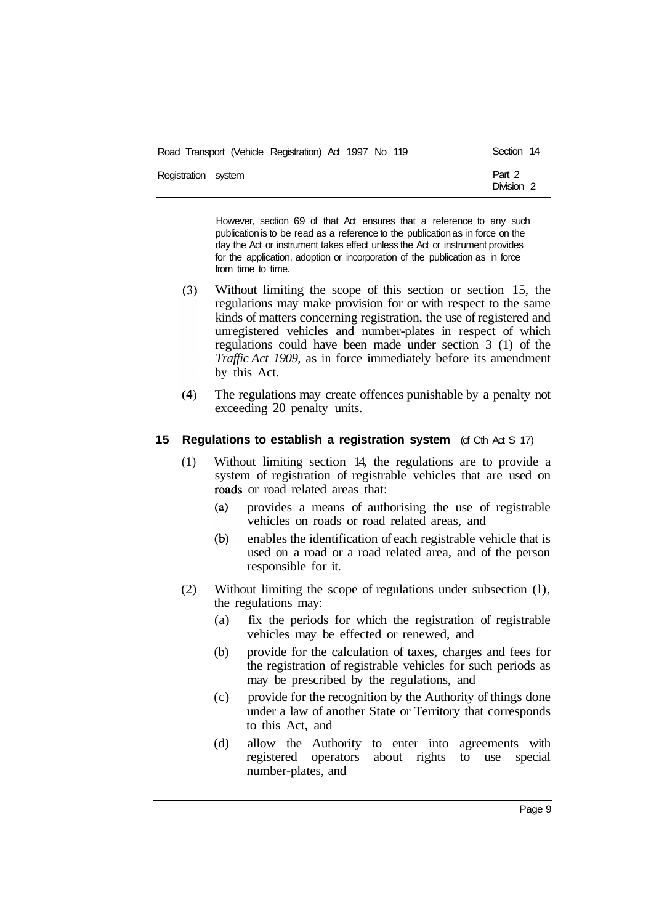| Road Transport (Vehicle Registration) Act 1997 No 119 | Section 14           |
|-------------------------------------------------------|----------------------|
| Registration system                                   | Part 2<br>Division 2 |

However, section 69 of that Act ensures that a reference to any such publication is to be read as a reference to the publication as in force on the day the Act or instrument takes effect unless the Act or instrument provides for the application, adoption or incorporation of the publication as in force from time to time.

- $(3)$ Without limiting the scope of this section or section 15, the regulations may make provision for or with respect to the same kinds of matters concerning registration, the use of registered and unregistered vehicles and number-plates in respect of which regulations could have been made under section 3 (1) of the *Traffic Act 1909,* as in force immediately before its amendment by this Act.
- The regulations may create offences punishable by a penalty not  $(4)$ exceeding 20 penalty units.

### **15 Regulations to establish a registration system** (cf Cth Act S 17)

- (1) Without limiting section 14, the regulations are to provide a system of registration of registrable vehicles that are used on roads or road related areas that:
	- provides a means of authorising the use of registrable  $(a)$ vehicles on roads or road related areas, and
	- $(b)$ enables the identification of each registrable vehicle that is used on a road or a road related area, and of the person responsible for it.
- (2) Without limiting the scope of regulations under subsection (l), the regulations may:
	- (a) fix the periods for which the registration of registrable vehicles may be effected or renewed, and
	- (b) provide for the calculation of taxes, charges and fees for the registration of registrable vehicles for such periods as may be prescribed by the regulations, and
	- (c) provide for the recognition by the Authority of things done under a law of another State or Territory that corresponds to this Act, and
	- (d) allow the Authority to enter into agreements with registered operators about rights to use special number-plates, and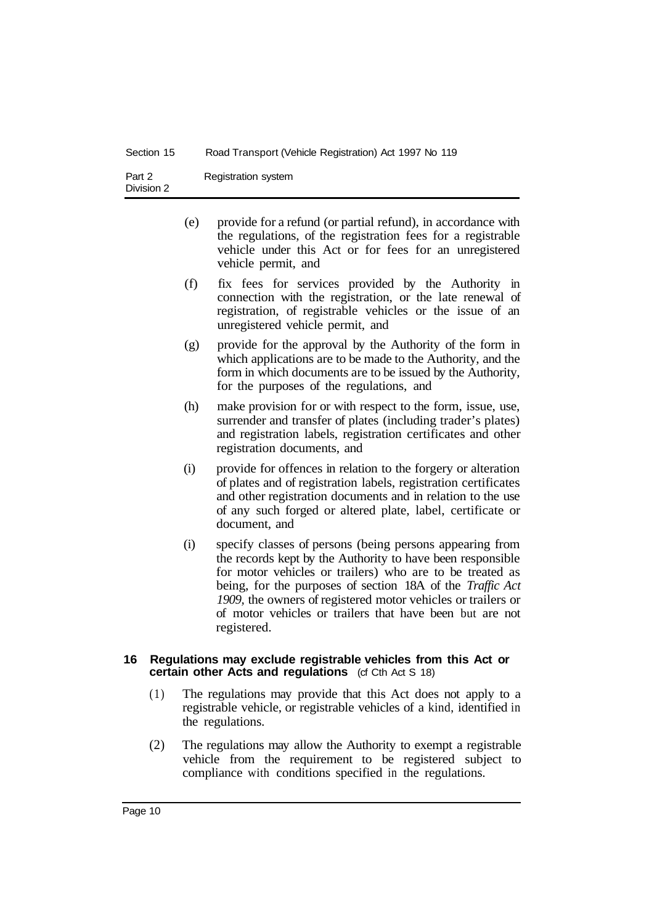| Section 15           | Road Transport (Vehicle Registration) Act 1997 No 119 |
|----------------------|-------------------------------------------------------|
| Part 2<br>Division 2 | Registration system                                   |

- (e) provide for a refund (or partial refund), in accordance with the regulations, of the registration fees for a registrable vehicle under this Act or for fees for an unregistered vehicle permit, and
- (f) fix fees for services provided by the Authority in connection with the registration, or the late renewal of registration, of registrable vehicles or the issue of an unregistered vehicle permit, and
- (g) provide for the approval by the Authority of the form in which applications are to be made to the Authority, and the form in which documents are to be issued by the Authority, for the purposes of the regulations, and
- (h) make provision for or with respect to the form, issue, use, surrender and transfer of plates (including trader's plates) and registration labels, registration certificates and other registration documents, and
- (i) provide for offences in relation to the forgery or alteration of plates and of registration labels, registration certificates and other registration documents and in relation to the use of any such forged or altered plate, label, certificate or document, and
- (i) specify classes of persons (being persons appearing from the records kept by the Authority to have been responsible for motor vehicles or trailers) who are to be treated as being, for the purposes of section 18A of the *Traffic Act 1909,* the owners of registered motor vehicles or trailers or of motor vehicles or trailers that have been but are not registered.

### **16 Regulations may exclude registrable vehicles from this Act or certain other Acts and regulations** (cf Cth Act S 18)

- (1) The regulations may provide that this Act does not apply to a registrable vehicle, or registrable vehicles of a kind, identified in the regulations.
- (2) The regulations may allow the Authority to exempt a registrable vehicle from the requirement to be registered subject to compliance with conditions specified in the regulations.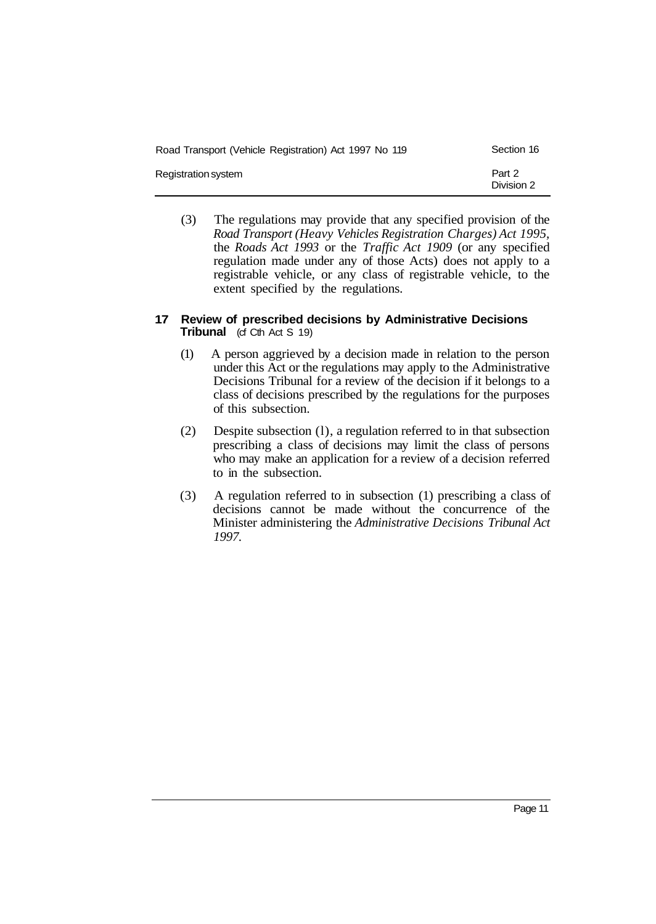| Road Transport (Vehicle Registration) Act 1997 No 119 | Section 16           |
|-------------------------------------------------------|----------------------|
| Registration system                                   | Part 2<br>Division 2 |

(3) The regulations may provide that any specified provision of the *Road Transport (Heavy Vehicles Registration Charges) Act 1995,*  the *Roads Act 1993* or the *Traffic Act 1909* (or any specified regulation made under any of those Acts) does not apply to a registrable vehicle, or any class of registrable vehicle, to the extent specified by the regulations.

### **17 Review of prescribed decisions by Administrative Decisions Tribunal** (cf Cth Act S 19)

- (1) A person aggrieved by a decision made in relation to the person under this Act or the regulations may apply to the Administrative Decisions Tribunal for a review of the decision if it belongs to a class of decisions prescribed by the regulations for the purposes of this subsection.
- (2) Despite subsection (l), a regulation referred to in that subsection prescribing a class of decisions may limit the class of persons who may make an application for a review of a decision referred to in the subsection.
- (3) A regulation referred to in subsection (1) prescribing a class of decisions cannot be made without the concurrence of the Minister administering the *Administrative Decisions Tribunal Act 1997.*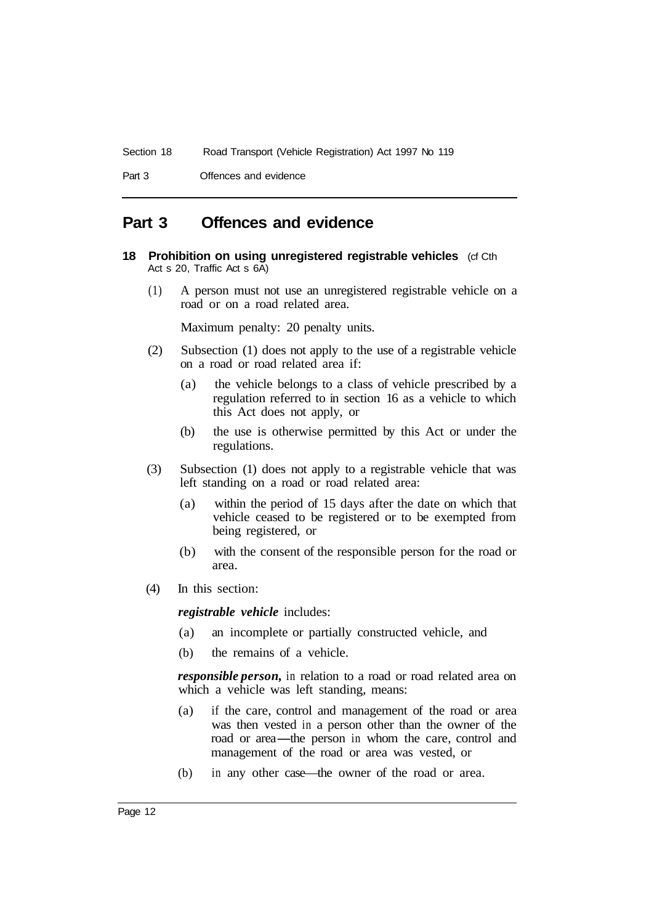Part 3 Offences and evidence

# **Part 3 Offences and evidence**

- **18 Prohibition on using unregistered registrable vehicles** (cf Cth Act s 20, Traffic Act s 6A)
	- (1) A person must not use an unregistered registrable vehicle on a road or on a road related area.

Maximum penalty: 20 penalty units.

- (2) Subsection (1) does not apply to the use of a registrable vehicle on a road or road related area if:
	- (a) the vehicle belongs to a class of vehicle prescribed by a regulation referred to in section 16 as a vehicle to which this Act does not apply, or
	- (b) the use is otherwise permitted by this Act or under the regulations.
- (3) Subsection (1) does not apply to a registrable vehicle that was left standing on a road or road related area:
	- (a) within the period of 15 days after the date on which that vehicle ceased to be registered or to be exempted from being registered, or
	- (b) with the consent of the responsible person for the road or area.
- (4) In this section:

*registrable vehicle* includes:

- (a) an incomplete or partially constructed vehicle, and
- (b) the remains of a vehicle.

*responsible person,* in relation to a road or road related area on which a vehicle was left standing, means:

- (a) if the care, control and management of the road or area was then vested in a person other than the owner of the if the care, control and management of the road or area<br>was then vested in a person other than the owner of the<br>road or area—the person in whom the care, control and<br>management of the road or area wes vested or management of the road or area was vested, or
- (b) in any other case—the owner of the road or area.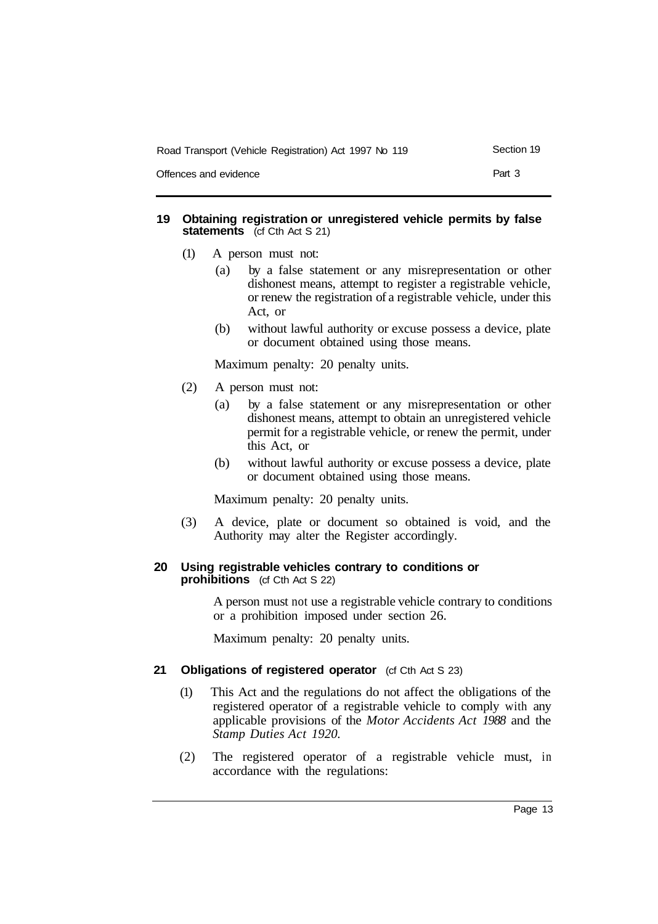| Road Transport (Vehicle Registration) Act 1997 No 119 | Section 19 |
|-------------------------------------------------------|------------|
| Offences and evidence                                 | Part 3     |

### **19 Obtaining registration or unregistered vehicle permits by false statements** (cf Cth Act S 21)

- (1) A person must not:
	- (a) by a false statement or any misrepresentation or other dishonest means, attempt to register a registrable vehicle, or renew the registration of a registrable vehicle, under this Act, or
	- (b) without lawful authority or excuse possess a device, plate or document obtained using those means.

Maximum penalty: 20 penalty units.

- (2) A person must not:
	- (a) by a false statement or any misrepresentation or other dishonest means, attempt to obtain an unregistered vehicle permit for a registrable vehicle, or renew the permit, under this Act, or
	- (b) without lawful authority or excuse possess a device, plate or document obtained using those means.

Maximum penalty: 20 penalty units.

(3) A device, plate or document so obtained is void, and the Authority may alter the Register accordingly.

### **20 Using registrable vehicles contrary to conditions or prohibitions** (cf Cth Act S 22)

A person must not use a registrable vehicle contrary to conditions or a prohibition imposed under section 26.

Maximum penalty: 20 penalty units.

### 21 **Obligations of registered operator** (cf Cth Act S 23)

- (1) This Act and the regulations do not affect the obligations of the registered operator of a registrable vehicle to comply with any applicable provisions of the *Motor Accidents Act 1988* and the *Stamp Duties Act 1920.*
- (2) The registered operator of a registrable vehicle must, in accordance with the regulations: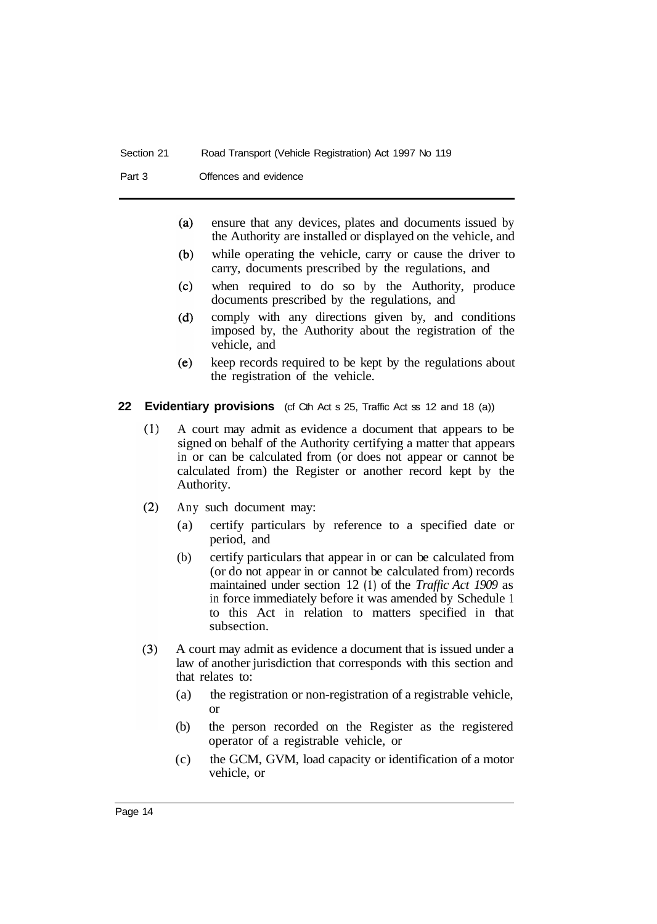Part 3 Offences and evidence

- $(a)$ ensure that any devices, plates and documents issued by the Authority are installed or displayed on the vehicle, and
- while operating the vehicle, carry or cause the driver to  $(b)$ carry, documents prescribed by the regulations, and
- when required to do so by the Authority, produce  $(c)$ documents prescribed by the regulations, and
- comply with any directions given by, and conditions  $(d)$ imposed by, the Authority about the registration of the vehicle, and
- keep records required to be kept by the regulations about  $(e)$ the registration of the vehicle.
- **22 Evidentiary provisions** (of Cth Act s 25, Traffic Act ss 12 and 18 (a))
	- $(1)$ A court may admit as evidence a document that appears to be signed on behalf of the Authority certifying a matter that appears in or can be calculated from (or does not appear or cannot be calculated from) the Register or another record kept by the Authority.
	- $(2)$ Any such document may:
		- (a) certify particulars by reference to a specified date or period, and
		- (b) certify particulars that appear in or can be calculated from (or do not appear in or cannot be calculated from) records maintained under section 12 **(1)** of the *Traffic Act 1909* as in force immediately before it was amended by Schedule 1 to this Act in relation to matters specified in that subsection.
	- A court may admit as evidence a document that is issued under a  $(3)$ law of another jurisdiction that corresponds with this section and that relates to:
		- (a) the registration or non-registration of a registrable vehicle, or
		- (b) the person recorded on the Register as the registered operator of a registrable vehicle, or
		- (c) the GCM, GVM, load capacity or identification of a motor vehicle, or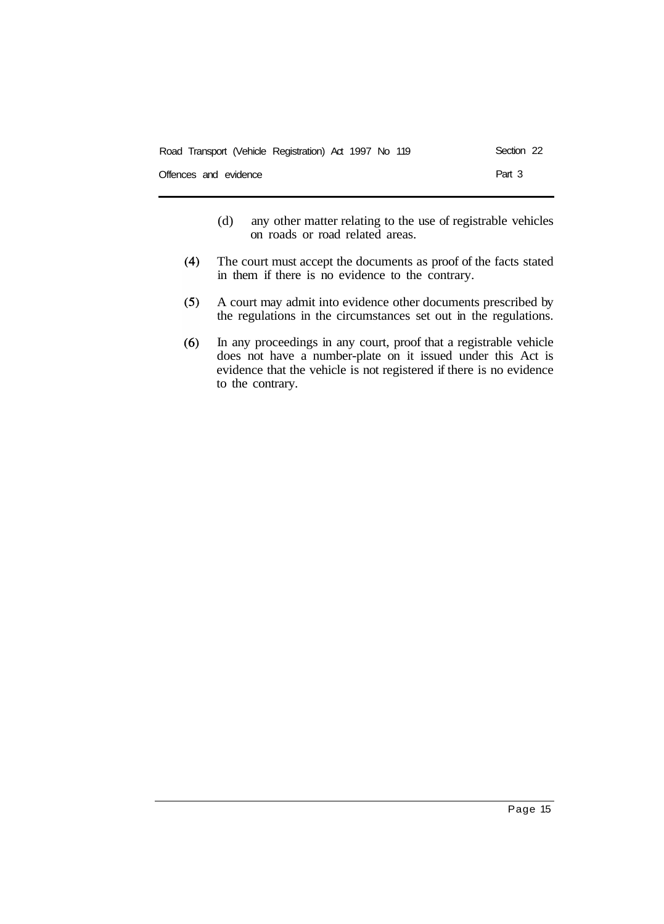| Road Transport (Vehicle Registration) Act 1997 No 119 |  | Section 22 |  |
|-------------------------------------------------------|--|------------|--|
| Offences and evidence                                 |  | Part 3     |  |

- (d) any other matter relating to the use of registrable vehicles on roads or road related areas.
- $(4)$ The court must accept the documents as proof of the facts stated in them if there is no evidence to the contrary.
- A court may admit into evidence other documents prescribed by  $(5)$ the regulations in the circumstances set out in the regulations.
- In any proceedings in any court, proof that a registrable vehicle  $(6)$ does not have a number-plate on it issued under this Act is evidence that the vehicle is not registered if there is no evidence to the contrary.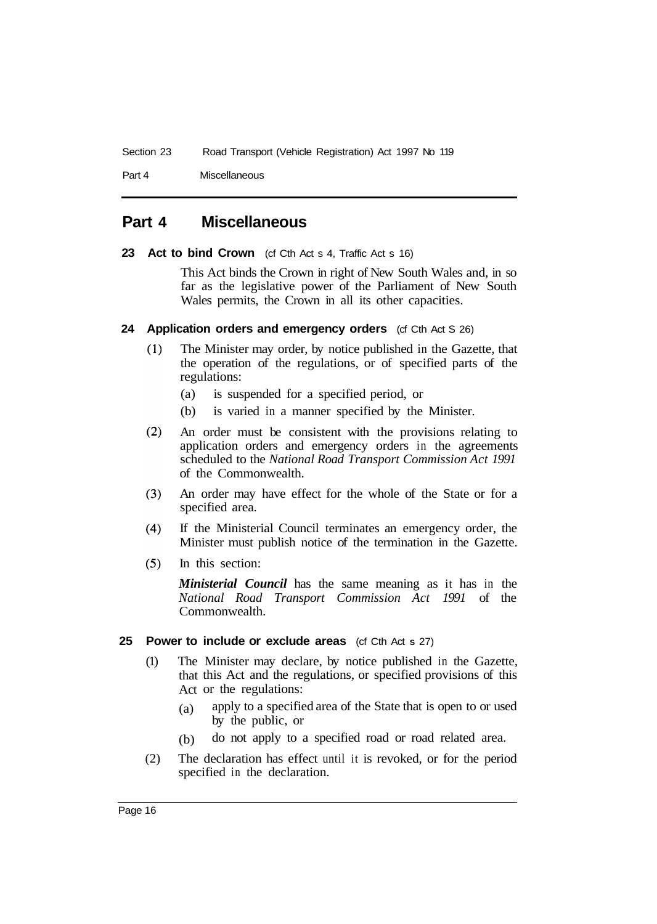Part 4 Miscellaneous

# **Part 4 Miscellaneous**

**23 Act to bind Crown** (cf Cth Act s 4, Traffic Act s 16)

This Act binds the Crown in right of New South Wales and, in so far as the legislative power of the Parliament of New South Wales permits, the Crown in all its other capacities.

- **24 Application orders and emergency orders** (cf Cth Act S 26)
	- $(1)$ The Minister may order, by notice published in the Gazette, that the operation of the regulations, or of specified parts of the regulations:
		- (a) is suspended for a specified period, or
		- (b) is varied in a manner specified by the Minister.
	- $(2)$ An order must be consistent with the provisions relating to application orders and emergency orders in the agreements scheduled to the *National Road Transport Commission Act 1991*  of the Commonwealth.
	- $(3)$ An order may have effect for the whole of the State or for a specified area.
	- $(4)$ If the Ministerial Council terminates an emergency order, the Minister must publish notice of the termination in the Gazette.
	- $(5)$ In this section:

*Ministerial Council* has the same meaning as it has in the *National Road Transport Commission Act 1991* of the Commonwealth.

### **25 Power to include or exclude areas** (cf Cth Act **S** 27)

- (1) The Minister may declare, by notice published in the Gazette, that this Act and the regulations, or specified provisions of this Act or the regulations:
	- (a) apply to a specified area of the State that is open to or used by the public, or
	- (b) do not apply to a specified road or road related area.
- (2) The declaration has effect until it is revoked, or for the period specified in the declaration.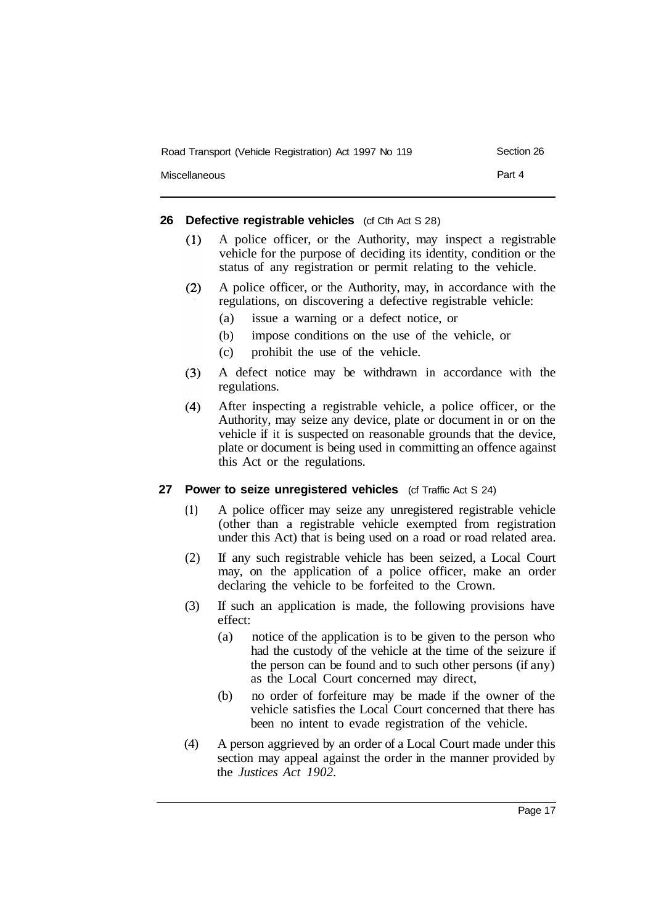| Road Transport (Vehicle Registration) Act 1997 No 119 | Section 26 |
|-------------------------------------------------------|------------|
| Miscellaneous                                         | Part 4     |

### **26 Defective registrable vehicles** (cf Cth Act S 28)

- A police officer, or the Authority, may inspect a registrable  $(1)$ vehicle for the purpose of deciding its identity, condition or the status of any registration or permit relating to the vehicle.
- $(2)$ A police officer, or the Authority, may, in accordance with the regulations, on discovering a defective registrable vehicle:
	- (a) issue a warning or a defect notice, or
	- (b) impose conditions on the use of the vehicle, or
	- (c) prohibit the use of the vehicle.
- $(3)$ A defect notice may be withdrawn in accordance with the regulations.
- $(4)$ After inspecting a registrable vehicle, a police officer, or the Authority, may seize any device, plate or document in or on the vehicle if it is suspected on reasonable grounds that the device, plate or document is being used in committing an offence against this Act or the regulations.

### **27 Power to seize unregistered vehicles** (cf Traffic Act S 24)

- **(1)** A police officer may seize any unregistered registrable vehicle (other than a registrable vehicle exempted from registration under this Act) that is being used on a road or road related area.
- (2) If any such registrable vehicle has been seized, a Local Court may, on the application of a police officer, make an order declaring the vehicle to be forfeited to the Crown.
- (3) If such an application is made, the following provisions have effect:
	- (a) notice of the application is to be given to the person who had the custody of the vehicle at the time of the seizure if the person can be found and to such other persons (if any) as the Local Court concerned may direct,
	- (b) no order of forfeiture may be made if the owner of the vehicle satisfies the Local Court concerned that there has been no intent to evade registration of the vehicle.
- (4) A person aggrieved by an order of a Local Court made under this section may appeal against the order in the manner provided by the *Justices Act 1902.*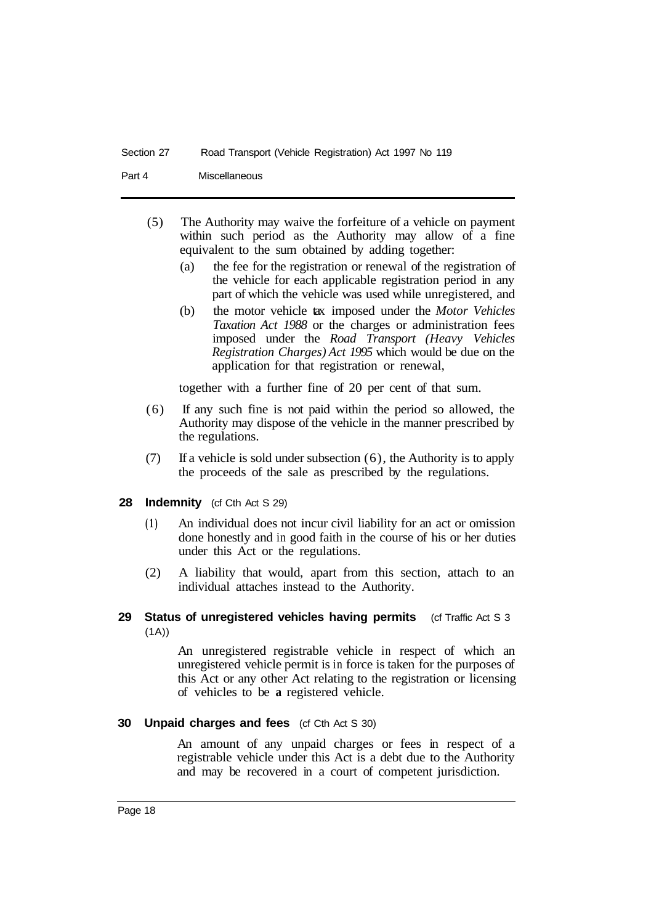### Section 27 Road Transport (Vehicle Registration) Act 1997 No 119

Part 4 Miscellaneous

- (5) The Authority may waive the forfeiture of a vehicle on payment within such period as the Authority may allow of a fine equivalent to the sum obtained by adding together:
	- (a) the fee for the registration or renewal of the registration of the vehicle for each applicable registration period in any part of which the vehicle was used while unregistered, and
	- (b) the motor vehicle tax imposed under the *Motor Vehicles Taxation Act 1988* or the charges or administration fees imposed under the *Road Transport (Heavy Vehicles Registration Charges) Act 1995* which would be due on the application for that registration or renewal,

together with a further fine of 20 per cent of that sum.

- (6) If any such fine is not paid within the period so allowed, the Authority may dispose of the vehicle in the manner prescribed by the regulations.
- $(7)$  If a vehicle is sold under subsection  $(6)$ , the Authority is to apply the proceeds of the sale as prescribed by the regulations.

### 28 Indemnity (cf Cth Act S 29)

- **(1)** An individual does not incur civil liability for an act or omission done honestly and in good faith in the course of his or her duties under this Act or the regulations.
- (2) A liability that would, apart from this section, attach to an individual attaches instead to the Authority.

### **29 Status of unregistered vehicles having permits** (cf Traffic Act S 3  $(1A)$

An unregistered registrable vehicle in respect of which an unregistered vehicle permit is in force is taken for the purposes of this Act or any other Act relating to the registration or licensing of vehicles to be **a** registered vehicle.

### **30 Unpaid charges and fees** (cf Cth Act S 30)

An amount of any unpaid charges or fees in respect of a registrable vehicle under this Act is a debt due to the Authority and may be recovered in a court of competent jurisdiction.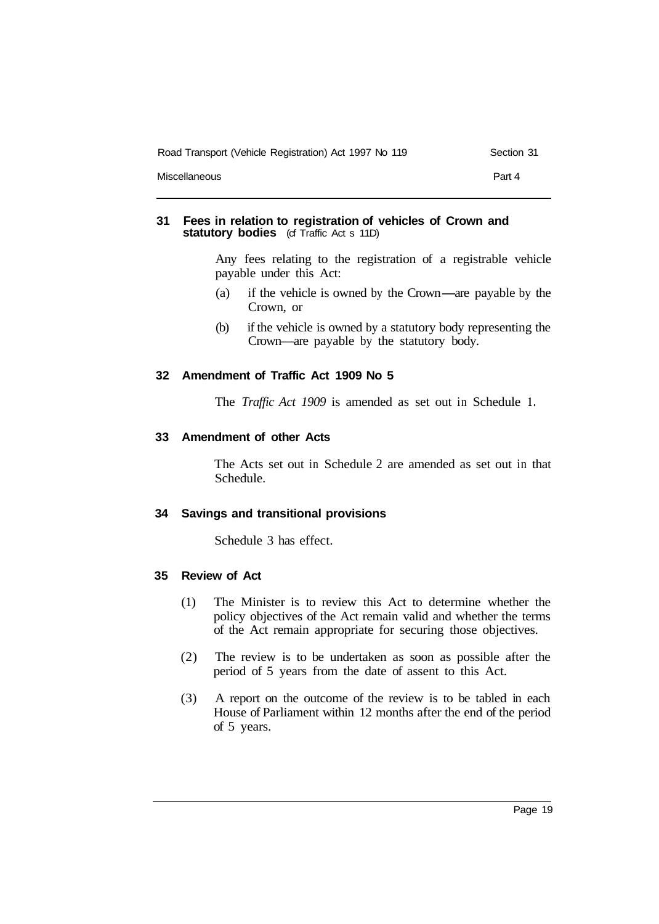| Road Transport (Vehicle Registration) Act 1997 No 119 | Section 31 |
|-------------------------------------------------------|------------|
| Miscellaneous                                         | Part 4     |

### **31 Fees in relation to registration of vehicles of Crown and statutory bodies** (cf Traffic Act s 11D)

Any fees relating to the registration of a registrable vehicle payable under this Act:

- (a) if the vehicle is owned by the Crown-are payable by the Crown, or
- (b) if the vehicle is owned by a statutory body representing the Crown—are payable by the statutory body.

### **32 Amendment of Traffic Act 1909 No 5**

The *Traffic Act 1909* is amended as set out in Schedule **1.** 

### **33 Amendment of other Acts**

The Acts set out in Schedule 2 are amended as set out in that Schedule.

### **34 Savings and transitional provisions**

Schedule 3 has effect.

### **35 Review of Act**

- (1) The Minister is to review this Act to determine whether the policy objectives of the Act remain valid and whether the terms of the Act remain appropriate for securing those objectives.
- (2) The review is to be undertaken as soon as possible after the period of 5 years from the date of assent to this Act.
- (3) A report on the outcome of the review is to be tabled in each House of Parliament within 12 months after the end of the period of 5 years.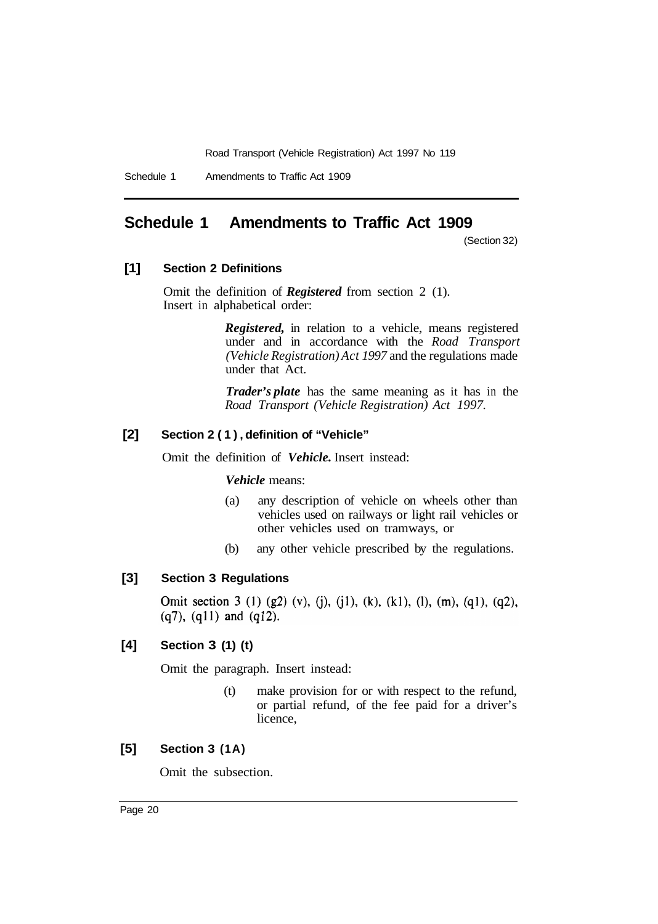# **Schedule 1 Amendments to Traffic Act 1909**

(Section 32)

### **[1] Section 2 Definitions**

Omit the definition of *Registered* from section 2 (1). Insert in alphabetical order:

> *Registered,* in relation to a vehicle, means registered under and in accordance with the *Road Transport (Vehicle Registration) Act 1997* and the regulations made under that Act.

> *Trader's plate* has the same meaning as it has in the *Road Transport (Vehicle Registration) Act 1997.*

### **[2] Section 2 (1), definition of "Vehicle"**

Omit the definition of *Vehicle*. Insert instead:

### *Vehicle* means:

- (a) any description of vehicle on wheels other than vehicles used on railways or light rail vehicles or other vehicles used on tramways, or
- (b) any other vehicle prescribed by the regulations.

### **[3] Section 3 Regulations**

Omit section 3 (1) (g2) (v), (j), (j1), (k), (k1), (l), (m), (q1), (q2),  $(q7)$ ,  $(q11)$  and  $(q12)$ .

### **[4] Section 3 (1) (t)**

Omit the paragraph. Insert instead:

(t) make provision for or with respect to the refund, or partial refund, of the fee paid for a driver's licence,

### **[5] Section 3 (1A)**

Omit the subsection.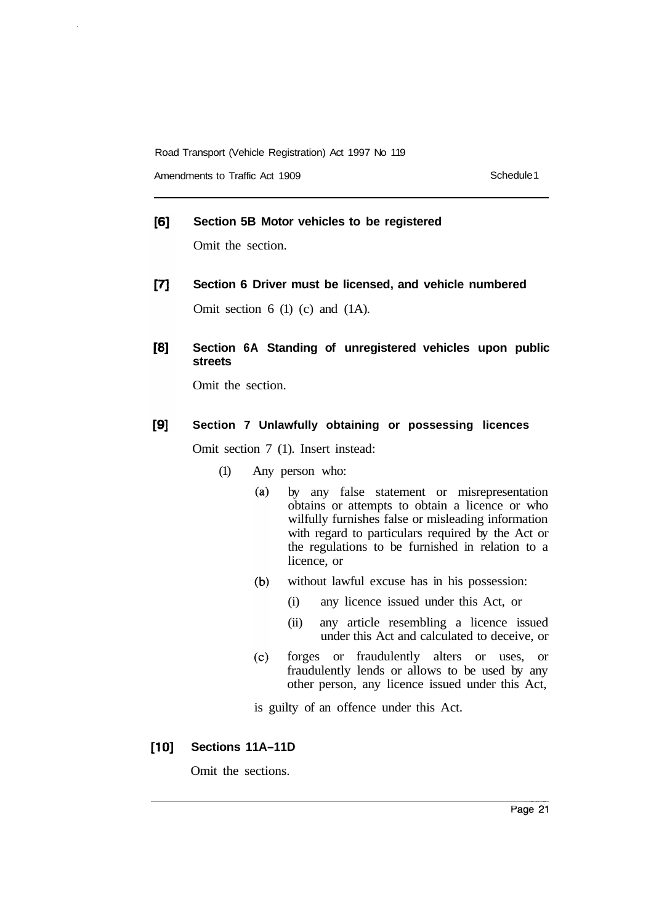Amendments to Traffic Act 1909 **Schedule 1** Schedule 1

#### $[6]$ **Section 5B Motor vehicles to be registered**

Omit the section.

- $[7]$ **Section 6 Driver must be licensed, and vehicle numbered**  Omit section 6 (1) (c) and (1A).
- $[8]$ **Section 6A Standing of unregistered vehicles upon public streets**

Omit the section.

#### $[9]$ **Section 7 Unlawfully obtaining or possessing licences**

Omit section 7 (1). Insert instead:

- (1) Any person who:
	- $(a)$ by any false statement or misrepresentation obtains or attempts to obtain a licence or who wilfully furnishes false or misleading information with regard to particulars required by the Act or the regulations to be furnished in relation to a licence, or
	- $(b)$ without lawful excuse has in his possession:
		- (i) any licence issued under this Act, or
		- (ii) any article resembling a licence issued under this Act and calculated to deceive, or
	- forges or fraudulently alters or uses, or  $(c)$ fraudulently lends or allows to be used by any other person, any licence issued under this Act,

is guilty of an offence under this Act.

 $[10]$ **Sections 11A–11D** 

Omit the sections.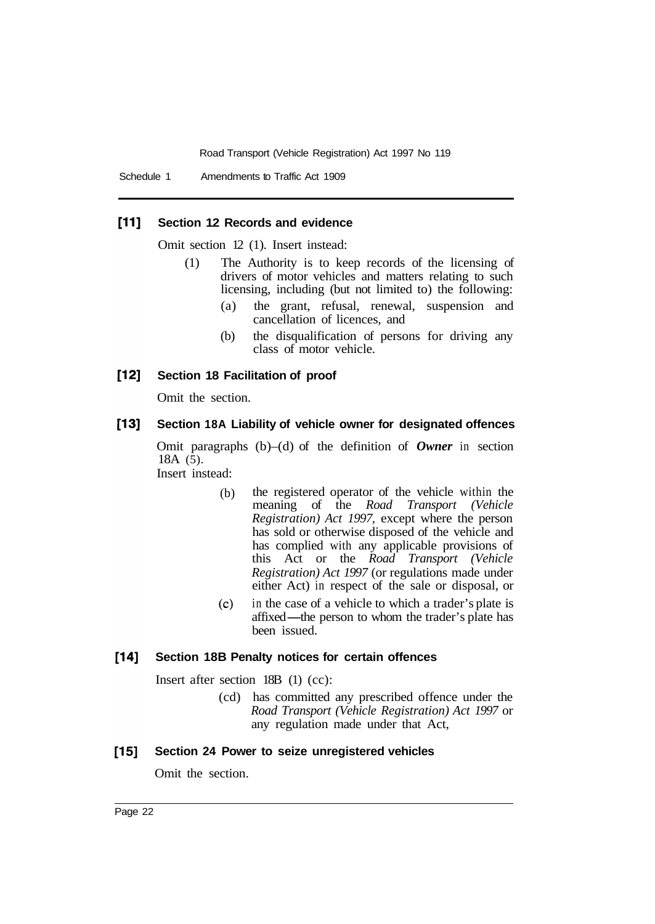#### $[11]$ **Section 12 Records and evidence**

Omit section 12 (1). Insert instead:

- (1) The Authority is to keep records of the licensing of drivers of motor vehicles and matters relating to such licensing, including (but not limited to) the following:
	- (a) the grant, refusal, renewal, suspension and cancellation of licences, and
	- (b) the disqualification of persons for driving any class of motor vehicle.

#### [12] **Section 18 Facilitation of proof**

Omit the section.

#### $[13]$ **Section 18A Liability of vehicle owner for designated offences**

Omit paragraphs (b)–(d) of the definition of *Owner* in section  $18A(5)$ .

Insert instead:

- (b) the registered operator of the vehicle within the meaning of the *Road Transport (Vehicle Registration) Act 1997,* except where the person has sold or otherwise disposed of the vehicle and has complied with any applicable provisions of this Act or the *Road Transport (Vehicle Registration) Act 1997* (or regulations made under either Act) in respect of the sale or disposal, or
- $(c)$ in the case of a vehicle to which a trader's plate is affixed—the person to whom the trader's plate has been issued.

#### $[14]$ **Section 18B Penalty notices for certain offences**

Insert after section 18B (1) (cc):

(cd) has committed any prescribed offence under the *Road Transport (Vehicle Registration) Act 1997* or any regulation made under that Act,

#### $[15]$ **Section 24 Power to seize unregistered vehicles**

Omit the section.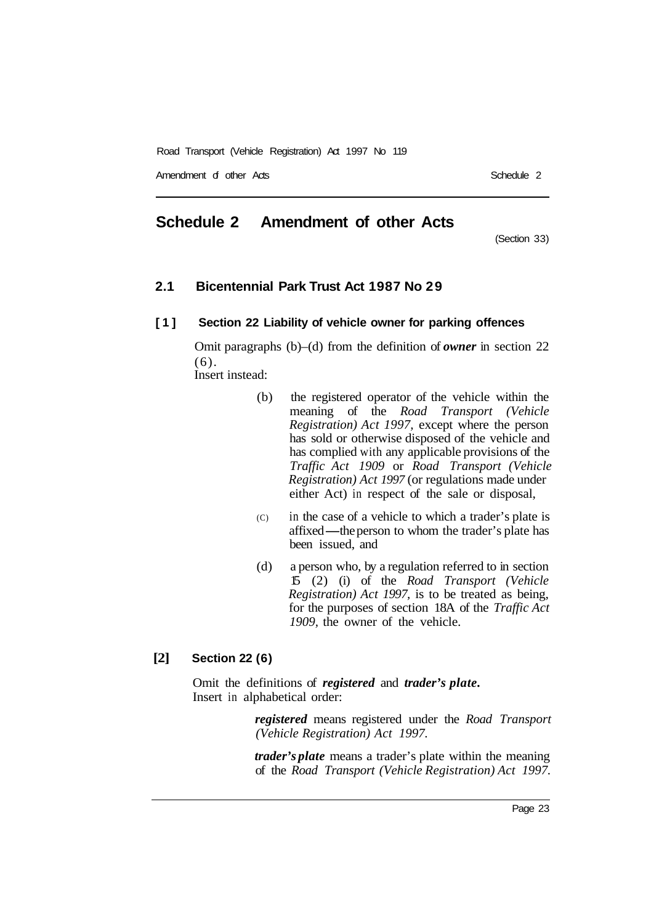Amendment of other Ads

# **Schedule 2 Amendment of other Acts**

(Section 33)

### **2.1 Bicentennial Park Trust Act 1987 No 29**

### **[1] Section 22 Liability of vehicle owner for parking offences**

Omit paragraphs (b)–(d) from the definition of *owner* in section 22 (6). Insert instead:

- (b) the registered operator of the vehicle within the meaning of the *Road Transport (Vehicle Registration) Act 1997,* except where the person has sold or otherwise disposed of the vehicle and has complied with any applicable provisions of the *Traffic Act 1909* or *Road Transport (Vehicle Registration) Act 1997* (or regulations made under either Act) in respect of the sale or disposal,
- (C) in the case of a vehicle to which a trader's plate is enter Act) in respect of the safe or disposar,<br>in the case of a vehicle to which a trader's plate is<br>affixed—the person to whom the trader's plate has<br>been issued and been issued, and
- (d) a person who, by a regulation referred to in section 15 (2) (i) of the *Road Transport (Vehicle Registration) Act 1997,* is to be treated as being, for the purposes of section 18A of the *Traffic Act 1909,* the owner of the vehicle.

### **[2] Section 22 (6)**

Omit the definitions of *registered* and *trader's plate.*  Insert in alphabetical order:

> *registered* means registered under the *Road Transport (Vehicle Registration) Act 1997.*

> *trader's plate* means a trader's plate within the meaning of the *Road Transport (Vehicle Registration) Act 1997.*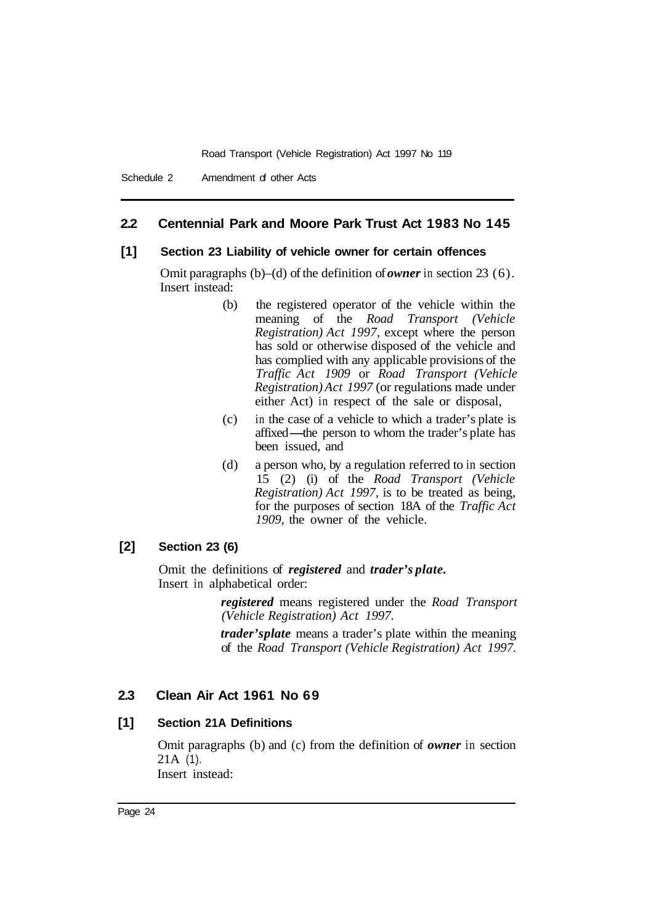### **2.2 Centennial Park and Moore Park Trust Act 1983 No 145**

### **[1] Section 23 Liability of vehicle owner for certain offences**

Omit paragraphs (b)–(d) of the definition of *owner* in section 23 (6). Insert instead:

- (b) the registered operator of the vehicle within the meaning of the *Road Transport (Vehicle Registration) Act 1997,* except where the person has sold or otherwise disposed of the vehicle and has complied with any applicable provisions of the *Traffic Act 1909* or *Road Transport (Vehicle Registration) Act 1997* (or regulations made under either Act) in respect of the sale or disposal,
- (c) in the case of a vehicle to which a trader's plate is either Act) in respect of the sale or disposal,<br>in the case of a vehicle to which a trader's plate is<br>affixed—the person to whom the trader's plate has<br>been issued and been issued, and
- (d) a person who, by a regulation referred to in section 15 (2) (i) of the *Road Transport (Vehicle Registration) Act 1997,* is to be treated as being, for the purposes of section 18A of the *Traffic Act 1909,* the owner of the vehicle.

### **[2] Section 23 (6)**

Omit the definitions of *registered* and *trader's plate.*  Insert in alphabetical order:

> *registered* means registered under the *Road Transport (Vehicle Registration) Act 1997.*

> *trader's plate* means a trader's plate within the meaning of the *Road Transport (Vehicle Registration) Act 1997.*

### **2.3 Clean Air Act 1961 No 69**

### **[1] Section 21A Definitions**

Omit paragraphs (b) and (c) from the definition of *owner* in section 21A (1). Insert instead: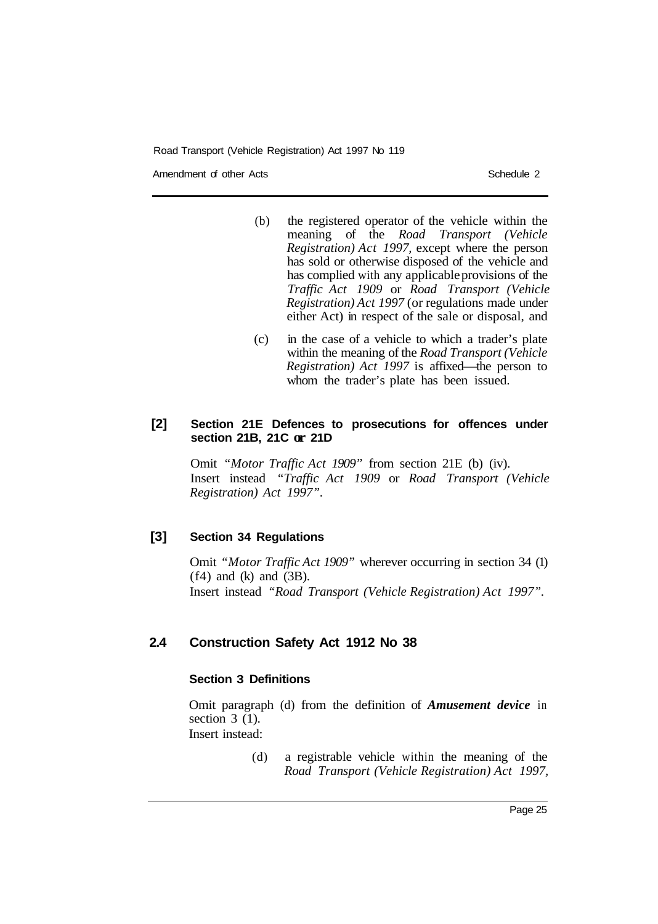Amendment of other Acts **Schedule 2** and the Schedule 2

- (b) the registered operator of the vehicle within the meaning of the *Road Transport (Vehicle Registration) Act 1997,* except where the person has sold or otherwise disposed of the vehicle and has complied with any applicable provisions of the *Traffic Act 1909* or *Road Transport (Vehicle Registration) Act 1997* (or regulations made under either Act) in respect of the sale or disposal, and
	- (c) in the case of a vehicle to which a trader's plate within the meaning of the *Road Transport (Vehicle Registration) Act 1997* is affixed—the person to whom the trader's plate has been issued.

### **[2] Section 21E Defences to prosecutions for offences under section 21B, 21C or 21D**

Omit *"Motor Traffic Act 1909"* from section 21E (b) (iv). Insert instead *"Traffic Act 1909* or *Road Transport (Vehicle Registration) Act 1997".* 

# **[3] Section 34 Regulations**

Omit *"Motor Traffic Act 1909"* wherever occurring in section 34 (1)  $(f4)$  and  $(k)$  and  $(3B)$ . Insert instead *"Road Transport (Vehicle Registration) Act 1997".* 

# **2.4 Construction Safety Act 1912 No 38**

### **Section 3 Definitions**

Omit paragraph (d) from the definition of *Amusement device* in section  $3(1)$ .

- Insert instead:
	- (d) a registrable vehicle within the meaning of the *Road Transport (Vehicle Registration) Act 1997,*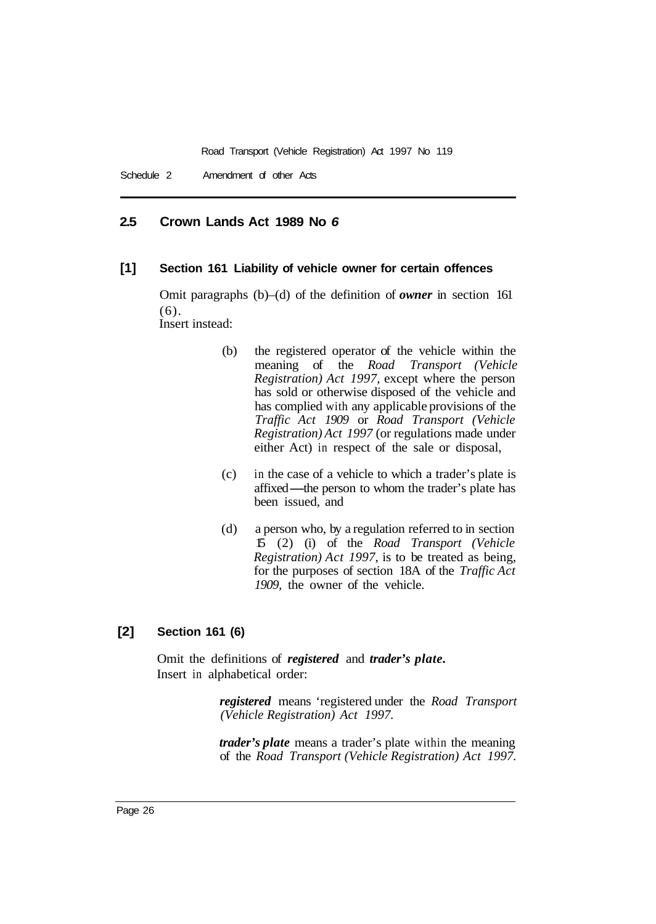### **2.5 Crown Lands Act 1989 No** *6*

### **[1] Section 161 Liability of vehicle owner for certain offences**

Omit paragraphs (b)–(d) of the definition of *owner* in section 161 (6).

Insert instead:

- (b) the registered operator of the vehicle within the meaning of the *Road Transport (Vehicle Registration) Act 1997,* except where the person has sold or otherwise disposed of the vehicle and has complied with any applicable provisions of the *Traffic Act 1909* or *Road Transport (Vehicle Registration) Act 1997* (or regulations made under either Act) in respect of the sale or disposal,
- (c) in the case of a vehicle to which a trader's plate is entier Free, in respect of the safe of disposar,<br>in the case of a vehicle to which a trader's plate is<br>affixed—the person to whom the trader's plate has been issued, and
- (d) a person who, by a regulation referred to in section 15 (2) (i) of the *Road Transport (Vehicle Registration) Act 1997,* is to be treated as being, for the purposes of section 18A of the *Traffic Act 1909,* the owner of the vehicle.

### **[2] Section 161 (6)**

Omit the definitions of *registered* and *trader's plate.*  Insert in alphabetical order:

> *registered* means 'registered under the *Road Transport (Vehicle Registration) Act 1997.*

> *trader's plate* means a trader's plate within the meaning of the *Road Transport (Vehicle Registration) Act 1997.*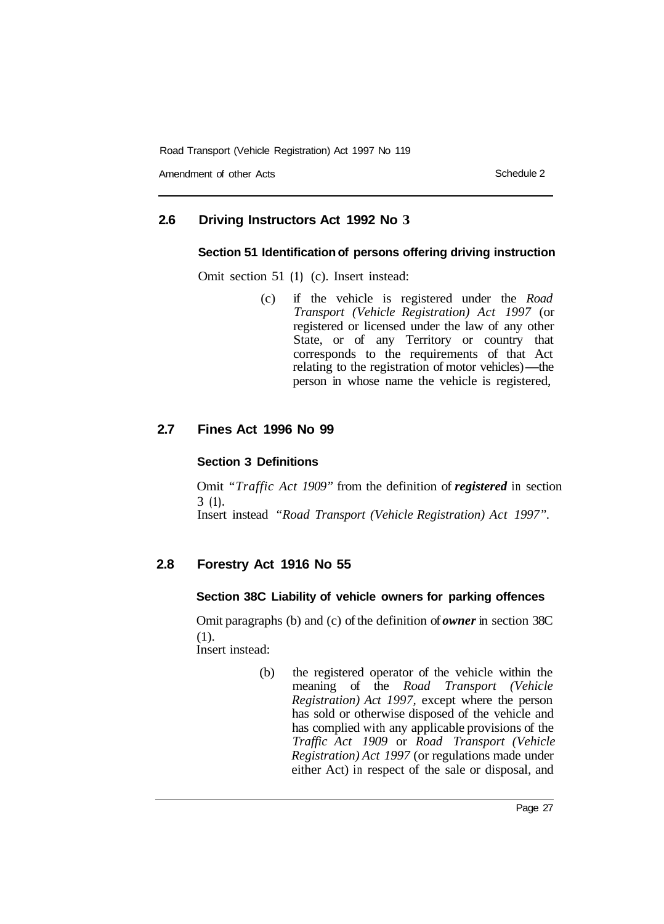Amendment of other Acts **Schedule 2** Schedule 2

#### **2.6 Driving Instructors Act 1992 No 3**

### **Section 51 Identification of persons offering driving instruction**

Omit section 51 **(1)** (c). Insert instead:

(c) if the vehicle is registered under the *Road Transport (Vehicle Registration) Act 1997* (or registered or licensed under the law of any other State, or of any Territory or country that<br>
corresponds to the requirements of that Act<br>
relating to the registration of motor vehicles)—the<br>
person in whose name the vehicle is registered corresponds to the requirements of that Act relating to the registration of motor vehicles)—the person in whose name the vehicle is registered,

#### **2.7 Fines Act 1996 No 99**

### **Section 3 Definitions**

Omit *"Traffic Act 1909"* from the definition of *registered* in section Insert instead *"Road Transport (Vehicle Registration) Act 1997".*  3 **(1).** 

#### **2.8 Forestry Act 1916 No 55**

### **Section 38C Liability of vehicle owners for parking offences**

Omit paragraphs (b) and (c) of the definition of *owner* in section 38C (1). Insert instead:

> (b) the registered operator of the vehicle within the meaning of the *Road Transport (Vehicle Registration) Act 1997,* except where the person has sold or otherwise disposed of the vehicle and has complied with any applicable provisions of the *Traffic Act 1909* or *Road Transport (Vehicle Registration) Act 1997* (or regulations made under either Act) in respect of the sale or disposal, and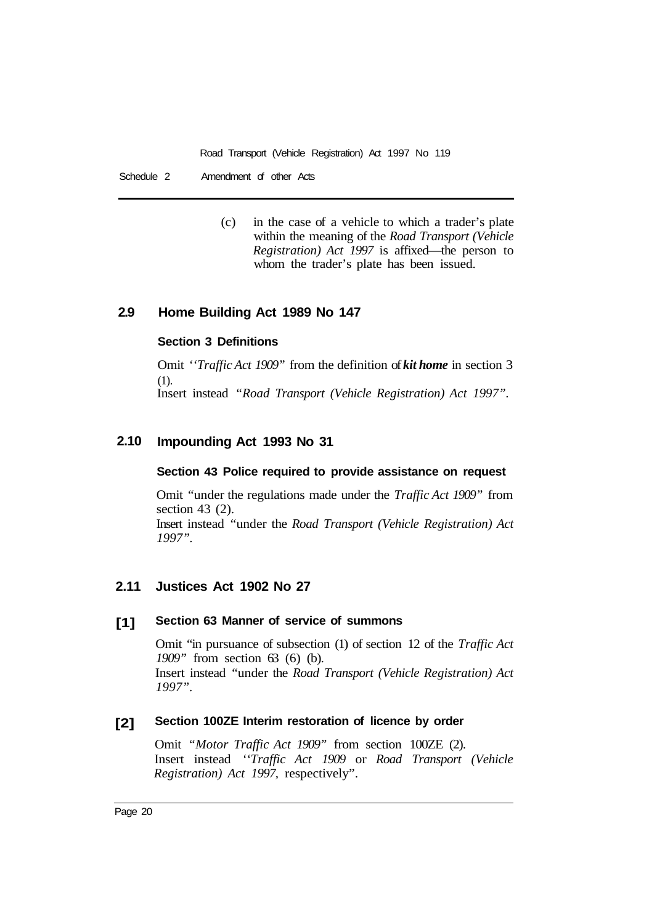Schedule 2 Amendment of other Acts

(c) in the case of a vehicle to which a trader's plate within the meaning of the *Road Transport (Vehicle Registration) Act 1997* is affixed—the person to whom the trader's plate has been issued.

#### **2.9 Home Building Act 1989 No 147**

### **Section 3 Definitions**

Omit *''Traffic Act 1909"* from the definition of *kit home* in section 3 (1). Insert instead *"Road Transport (Vehicle Registration) Act 1997".* 

#### **2.10 Impounding Act 1993 No 31**

### **Section 43 Police required to provide assistance on request**

Omit "under the regulations made under the *Traffic Act 1909"* from section 43 (2).

Insert instead "under the *Road Transport (Vehicle Registration) Act 1997".* 

#### **2.11 Justices Act 1902 No 27**

#### **[1] Section 63 Manner of service of summons**

Omit "in pursuance of subsection (1) of section 12 of the *Traffic Act 1909*" from section 63 (6) (b). Insert instead "under the *Road Transport (Vehicle Registration) Act 1997".* 

#### **[2] Section 100ZE Interim restoration of licence by order**

Omit *"Motor Traffic Act 1909"* from section 100ZE (2). Insert instead *''Traffic Act 1909* or *Road Transport (Vehicle Registration) Act 1997,* respectively".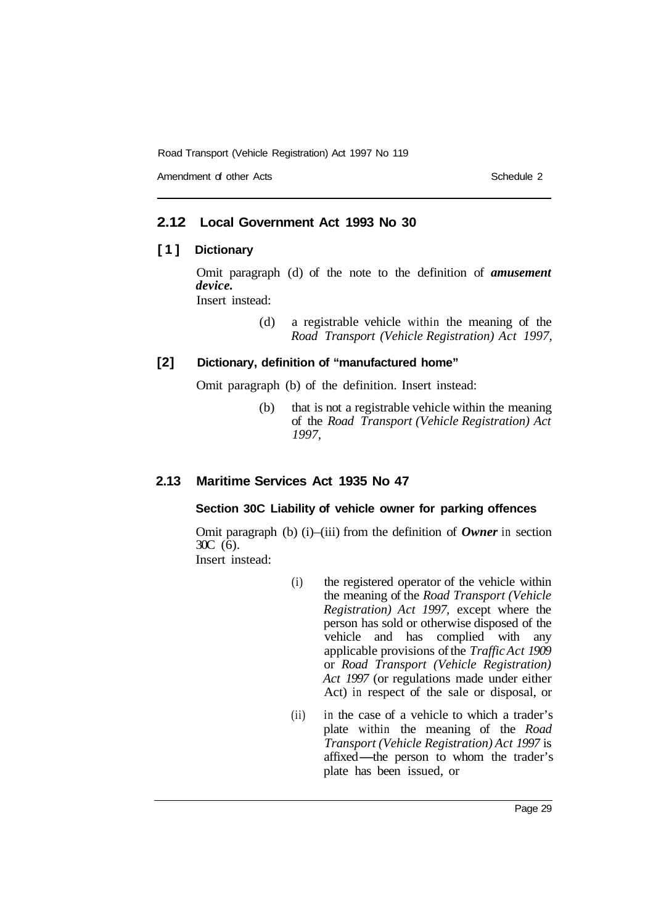Amendment of other Acts Schedule 2

### **2.12 Local Government Act 1993 No 30**

### **[1] Dictionary**

Omit paragraph (d) of the note to the definition of *amusement device.*  Insert instead:

> (d) a registrable vehicle within the meaning of the *Road Transport (Vehicle Registration) Act 1997,*

### **[2] Dictionary, definition of "manufactured home"**

Omit paragraph (b) of the definition. Insert instead:

(b) that is not a registrable vehicle within the meaning of the *Road Transport (Vehicle Registration) Act 1997,* 

### **2.13 Maritime Services Act 1935 No 47**

### **Section 30C Liability of vehicle owner for parking offences**

Omit paragraph (b) (i)–(iii) from the definition of *Owner* in section  $30C$  (6).

Insert instead:

- (i) the registered operator of the vehicle within the meaning of the *Road Transport (Vehicle Registration) Act 1997,* except where the person has sold or otherwise disposed of the vehicle and has complied with any applicable provisions of the *Traffic Act 1909*  or *Road Transport (Vehicle Registration) Act 1997* (or regulations made under either Act) in respect of the sale or disposal, or
- (ii) in the case of a vehicle to which a trader's plate within the meaning of the *Road Transport (Vehicle Registration) Act 1997* is m are visible within the meaning of the *Road*<br>Transport (Vehicle Registration) Act 1997 is<br>affixed—the person to whom the trader's plate has been issued, or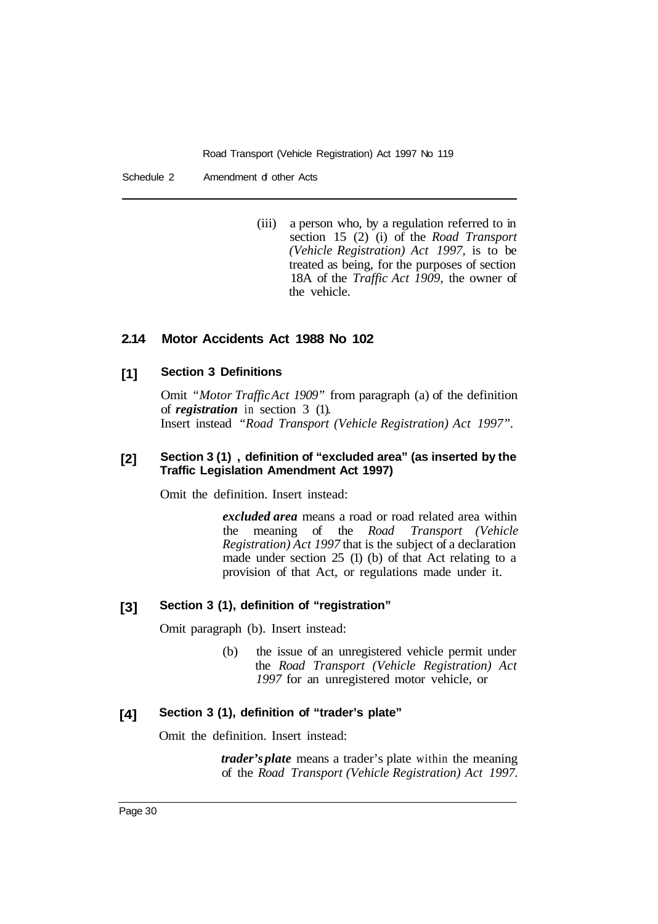Schedule 2 Amendment of other Acts

(iii) a person who, by a regulation referred to in section 15 (2) (i) of the *Road Transport (Vehicle Registration) Act 1997,* is to be treated as being, for the purposes of section 18A of the *Traffic Act 1909,* the owner of the vehicle.

#### **2.14 Motor Accidents Act 1988 No 102**

#### **[1] Section 3 Definitions**

Omit *"Motor Traffic Act 1909"* from paragraph (a) of the definition of *registration* in section 3 (1). Insert instead *"Road Transport (Vehicle Registration) Act 1997".* 

#### **[2] Section 3 (1), definition of "excluded area" (as inserted by the Traffic Legislation Amendment Act 1997)**

Omit the definition. Insert instead:

*excluded area* means a road or road related area within the meaning of the *Road Transport (Vehicle Registration) Act 1997* that is the subject of a declaration made under section 25 (1) (b) of that Act relating to a provision of that Act, or regulations made under it.

#### **[3] Section 3 (1), definition of "registration"**

Omit paragraph (b). Insert instead:

(b) the issue of an unregistered vehicle permit under the *Road Transport (Vehicle Registration) Act 1997* for an unregistered motor vehicle, or

#### **[4] Section 3 (1), definition of "trader's plate"**

Omit the definition. Insert instead:

*trader's plate* means a trader's plate within the meaning of the *Road Transport (Vehicle Registration) Act 1997.*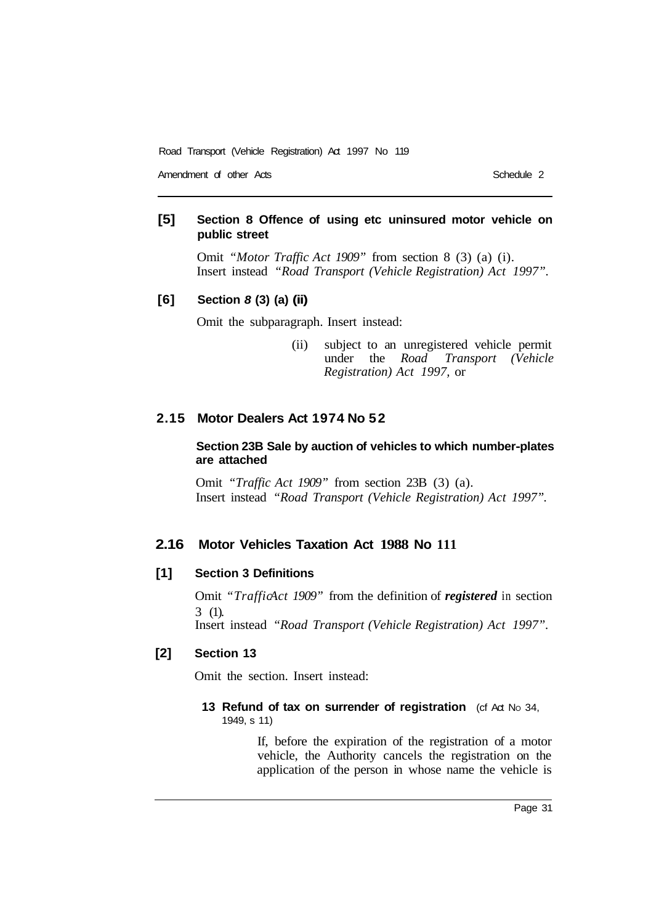Amendment of other Acts **Schedule 2** and  $\overline{S}$  Schedule 2

### **[5] Section 8 Offence of using etc uninsured motor vehicle on public street**

Omit *"Motor Traffic Act 1909"* from section 8 (3) (a) (i). Insert instead *"Road Transport (Vehicle Registration) Act 1997".* 

### **[6] Section** *8* **(3) (a) (ii)**

Omit the subparagraph. Insert instead:

(ii) subject to an unregistered vehicle permit under the *Road Transport (Vehicle Registration) Act 1997,* or

### **2.15 Motor Dealers Act 1974 No 52**

### **Section 23B Sale by auction of vehicles to which number-plates are attached**

Omit *"Traffic Act 1909"* from section 23B (3) (a). Insert instead *"Road Transport (Vehicle Registration) Act 1997".* 

### **2.16 Motor Vehicles Taxation Act 1988 No 111**

### **[1] Section 3 Definitions**

Omit *"TrafficAct 1909"* from the definition of *registered* in section 3 (1). Insert instead *"Road Transport (Vehicle Registration) Act 1997".* 

### **[2] Section 13**

Omit the section. Insert instead:

### **13 Refund of tax on surrender of registration** (cf Act No 34, 1949, s 11)

If, before the expiration of the registration of a motor vehicle, the Authority cancels the registration on the application of the person in whose name the vehicle is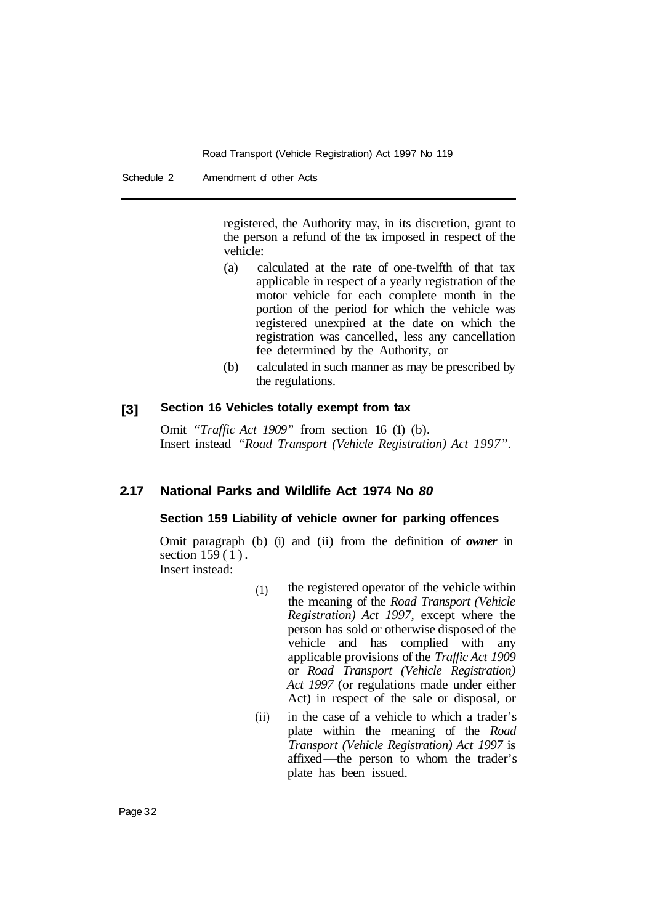registered, the Authority may, in its discretion, grant to the person a refund of the tax imposed in respect of the vehicle:

- (a) calculated at the rate of one-twelfth of that tax applicable in respect of a yearly registration of the motor vehicle for each complete month in the portion of the period for which the vehicle was registered unexpired at the date on which the registration was cancelled, less any cancellation fee determined by the Authority, or
- (b) calculated in such manner as may be prescribed by the regulations.

#### **[3] Section 16 Vehicles totally exempt from tax**

Omit *"Traffic Act 1909"* from section 16 (1) (b). Insert instead *"Road Transport (Vehicle Registration) Act 1997".* 

#### **2.17 National Parks and Wildlife Act 1974 No** *80*

### **Section 159 Liability of vehicle owner for parking offences**

Omit paragraph (b) (i) and (ii) from the definition of *owner* in section 159(1). Insert instead:

- (1) the registered operator of the vehicle within the meaning of the *Road Transport (Vehicle Registration) Act 1997,* except where the person has sold or otherwise disposed of the vehicle and has complied with any applicable provisions of the *Traffic Act 1909*  or *Road Transport (Vehicle Registration) Act 1997* (or regulations made under either Act) in respect of the sale or disposal, or
- (ii) in the case of **a** vehicle to which a trader's plate within the meaning of the *Road Transport (Vehicle Registration) Act 1997* is affixed—the person to whom the trader's plate has been issued *Transport (Vehicle Registration) Act 1997* is plate has been issued.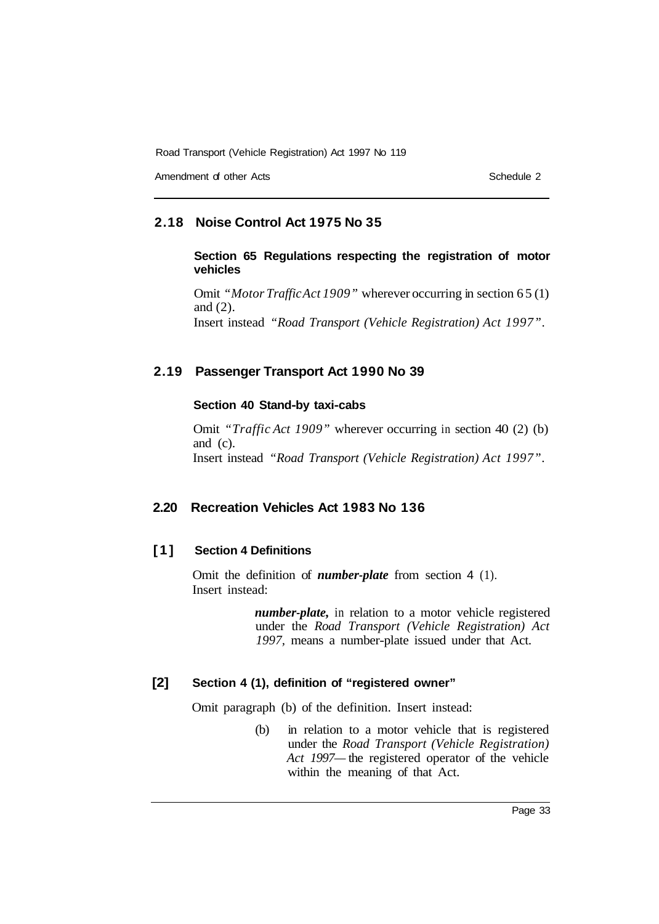Amendment of other Acts and the Contract of other Acts Schedule 2

### **2.18 Noise Control Act 1975 No 35**

### **Section 65 Regulations respecting the registration of motor vehicles**

Omit *"Motor Traffic Act 1909"* wherever occurring in section 65 (1) and (2). Insert instead *"Road Transport (Vehicle Registration) Act 1997".* 

### **2.19 Passenger Transport Act 1990 No 39**

### **Section 40 Stand-by taxi-cabs**

Omit *"Traffic Act 1909"* wherever occurring in section 40 (2) (b) and (c). Insert instead *"Road Transport (Vehicle Registration) Act 1997".* 

### **2.20 Recreation Vehicles Act 1983 No 136**

### **[1] Section 4 Definitions**

Omit the definition of *number-plate* from section 4 (1). Insert instead:

> *number-plate,* in relation to a motor vehicle registered under the *Road Transport (Vehicle Registration) Act 1997,* means a number-plate issued under that Act.

### **[2] Section 4 (1), definition of "registered owner"**

Omit paragraph (b) of the definition. Insert instead:

(b) in relation to a motor vehicle that is registered under the *Road Transport (Vehicle Registration) Act 1997—* the registered operator of the vehicle within the meaning of that Act.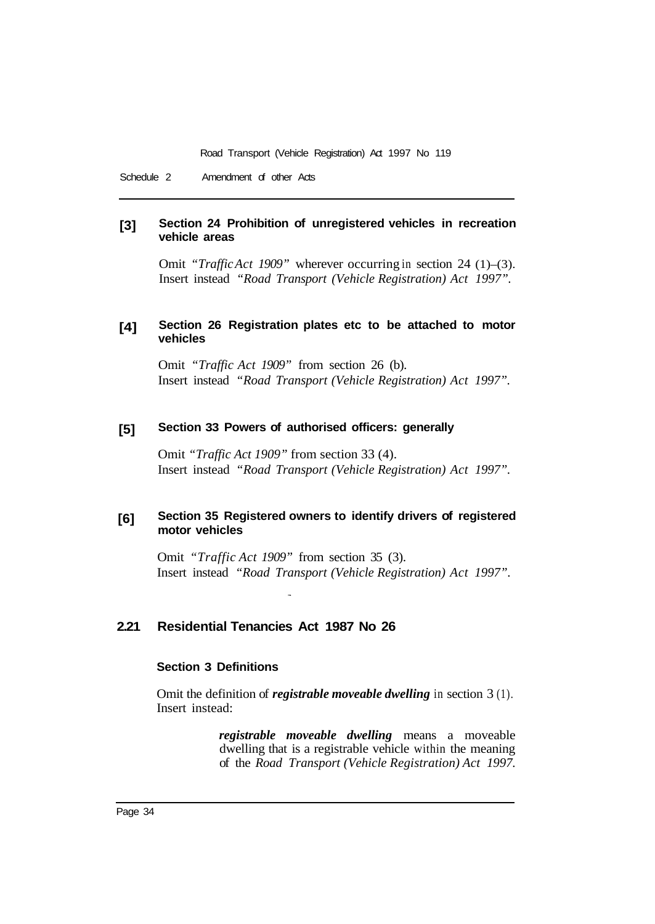Schedule 2 Amendment of other Acts

#### **[3] Section 24 Prohibition of unregistered vehicles in recreation vehicle areas**

Omit *"Traffic Act 1909"* wherever occurring in section 24 (1)–(3). Insert instead *"Road Transport (Vehicle Registration) Act 1997".* 

#### **[4] Section 26 Registration plates etc to be attached to motor vehicles**

Omit *"Traffic Act 1909"* from section 26 (b). Insert instead *"Road Transport (Vehicle Registration) Act 1997".* 

#### **[5] Section 33 Powers of authorised officers: generally**

Omit *"Traffic Act 1909"* from section 33 (4). Insert instead *"Road Transport (Vehicle Registration) Act 1997".* 

#### **[6] Section 35 Registered owners to identify drivers of registered motor vehicles**

Omit *"Traffic Act 1909"* from section 35 (3). Insert instead *"Road Transport (Vehicle Registration) Act 1997".* 

#### **2.21 Residential Tenancies Act 1987 No 26**

### **Section 3 Definitions**

Omit the definition of *registrable moveable dwelling* in section 3 (1). Insert instead:

> *registrable moveable dwelling* means a moveable dwelling that is a registrable vehicle within the meaning of the *Road Transport (Vehicle Registration) Act 1997.*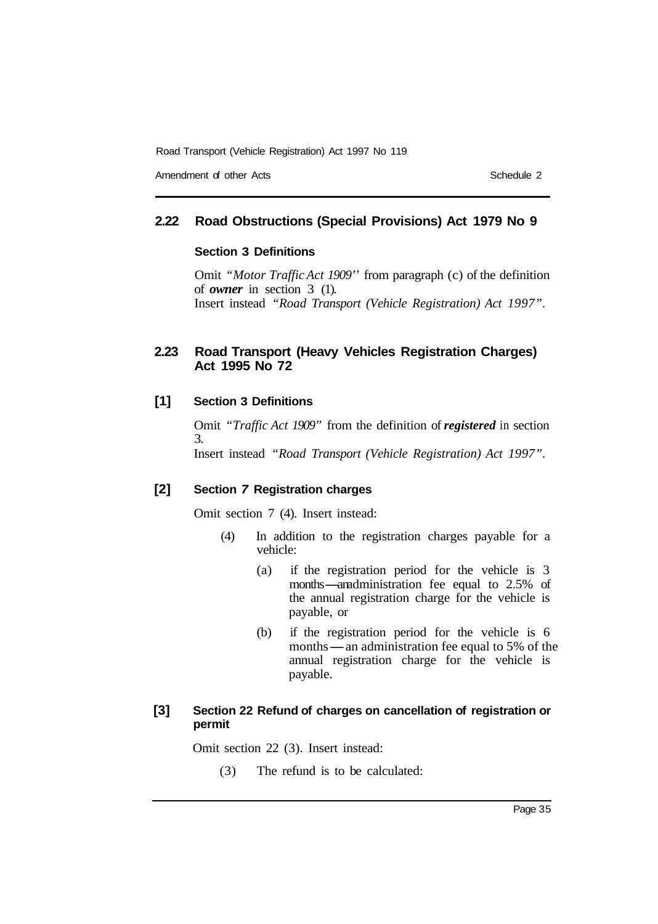Amendment of other Acts **Schedule 2** and the Schedule 2

### **2.22 Road Obstructions (Special Provisions) Act 1979 No 9**

### **Section 3 Definitions**

Omit *"Motor Traffic Act 1909''* from paragraph (c) of the definition of *owner* in section 3 (1). Insert instead *"Road Transport (Vehicle Registration) Act 1997".* 

### **2.23 Road Transport (Heavy Vehicles Registration Charges) Act 1995 No 72**

### **[1] Section 3 Definitions**

Omit *"Traffic Act 1909"* from the definition of *registered* in section 3. Insert instead *"Road Transport (Vehicle Registration) Act 1997".* 

### **[2] Section** *7* **Registration charges**

Omit section 7 (4). Insert instead:

- (4) In addition to the registration charges payable for a vehicle:
	- (a) if the registration period for the vehicle is 3 months—anadministration fee equal to 2.5% of the annual registration charge for the vehicle is payable, or
	- (b) if the registration period for the vehicle is 6 months-an administration fee equal to 5% of the annual registration charge for the vehicle is payable.

### **[3] Section 22 Refund of charges on cancellation of registration or permit**

Omit section 22 (3). Insert instead:

(3) The refund is to be calculated: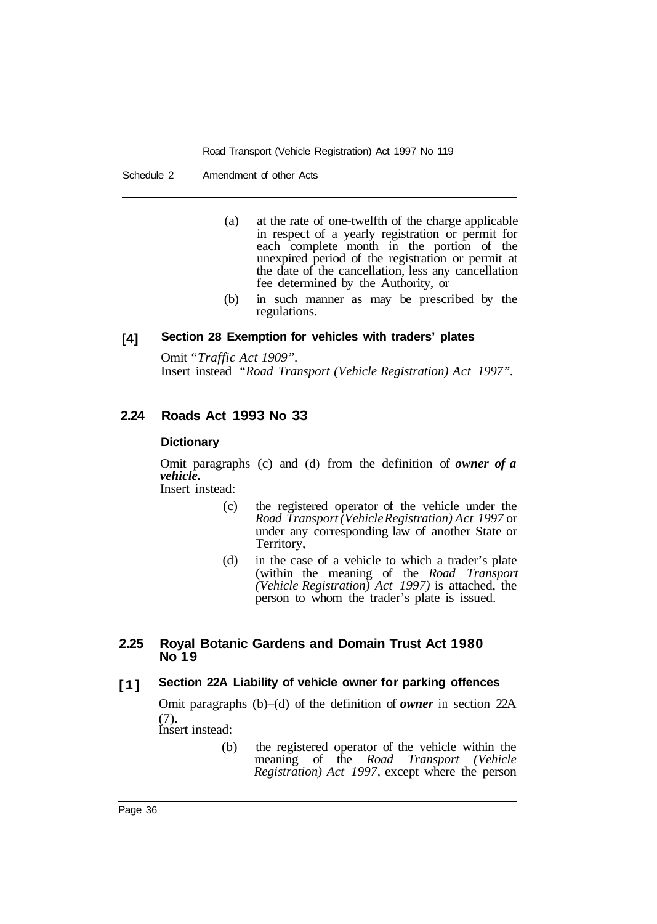- (a) at the rate of one-twelfth of the charge applicable in respect of a yearly registration or permit for each complete month in the portion of the unexpired period of the registration or permit at the date of the cancellation, less any cancellation fee determined by the Authority, or
- (b) in such manner as may be prescribed by the regulations.

#### **[4] Section 28 Exemption for vehicles with traders' plates**

Omit *"Traffic Act 1909".*  Insert instead *"Road Transport (Vehicle Registration) Act 1997".* 

#### **2.24 Roads Act 1993 No 33**

### **Dictionary**

Omit paragraphs (c) and (d) from the definition of *owner of a vehicle.*  Insert instead:

(c) the registered operator of the vehicle under the

- *Road Transport (Vehicle Registration) Act 1997* or under any corresponding law of another State or Territory,
- (d) in the case of a vehicle to which a trader's plate (within the meaning of the *Road Transport (Vehicle Registration) Act 1997)* is attached, the person to whom the trader's plate is issued.

#### **2.25 Royal Botanic Gardens and Domain Trust Act 1980 No 19**

#### **[1] Section 22A Liability of vehicle owner for parking offences**

Omit paragraphs (b)–(d) of the definition of *owner* in section 22A (7).

Insert instead:

(b) the registered operator of the vehicle within the meaning of the *Road Transport (Vehicle Registration) Act 1997,* except where the person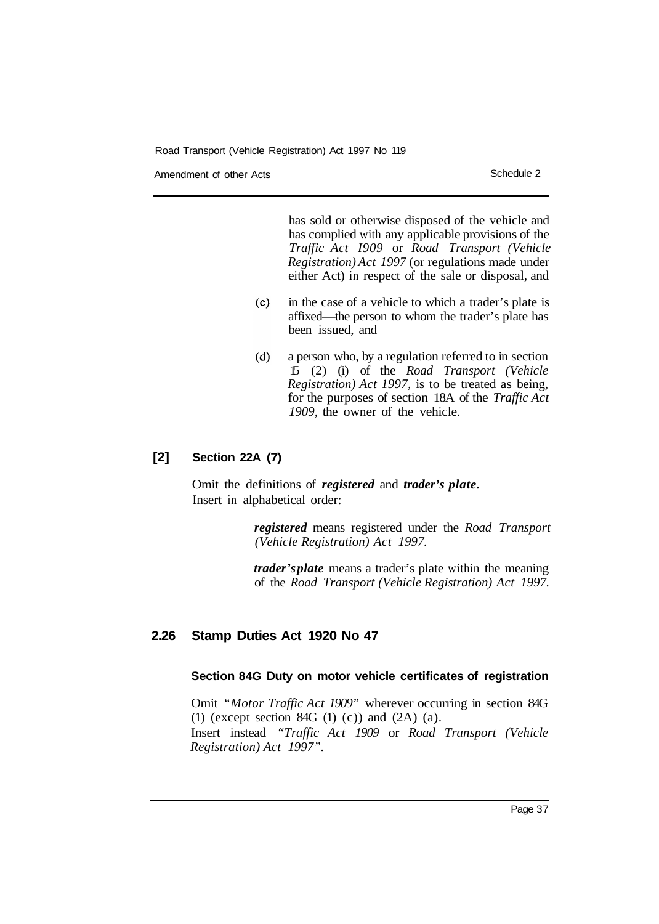Amendment of other Acts **Schedule 2** and the Schedule 2

has sold or otherwise disposed of the vehicle and has complied with any applicable provisions of the *Traffic Act I909* or *Road Transport (Vehicle Registration) Act 1997* (or regulations made under either Act) in respect of the sale or disposal, and

- $(c)$ in the case of a vehicle to which a trader's plate is affixed—the person to whom the trader's plate has been issued, and
- a person who, by a regulation referred to in section  $(d)$ 15 (2) (i) of the *Road Transport (Vehicle Registration) Act 1997,* is to be treated as being, for the purposes of section 18A of the *Traffic Act 1909,* the owner of the vehicle.

### **[2] Section 22A (7)**

Omit the definitions of *registered* and *trader's plate.*  Insert in alphabetical order:

> *registered* means registered under the *Road Transport (Vehicle Registration) Act 1997.*

> *trader's plate* means a trader's plate within the meaning of the *Road Transport (Vehicle Registration) Act 1997.*

### **2.26 Stamp Duties Act 1920 No 47**

### **Section 84G Duty on motor vehicle certificates of registration**

Omit *"Motor Traffic Act 1909"* wherever occurring in section 84G (1) (except section 84G (1) (c)) and  $(2A)$  (a). Insert instead *"Traffic Act 1909* or *Road Transport (Vehicle Registration) Act 1997".*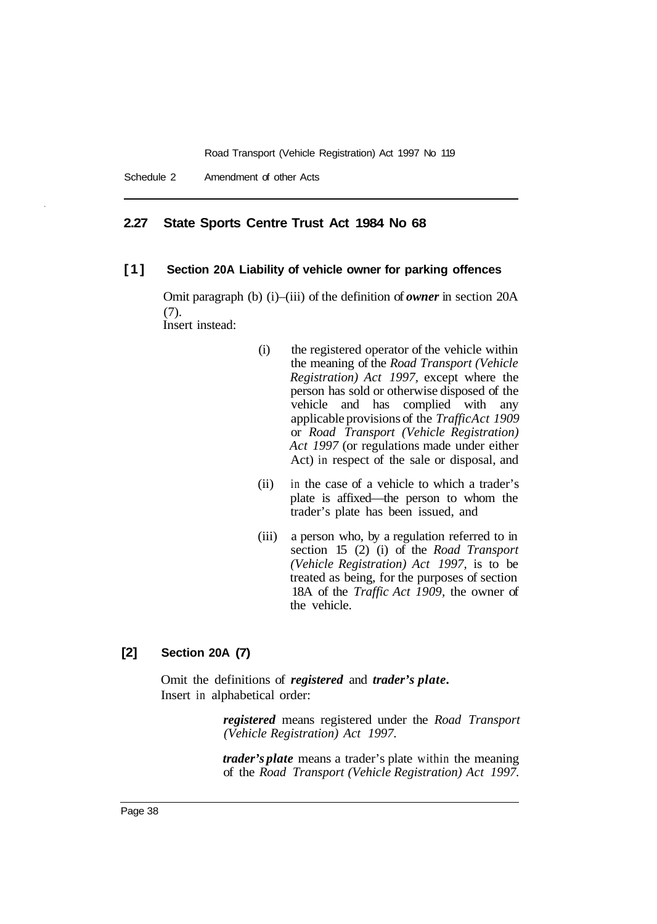### **2.27 State Sports Centre Trust Act 1984 No 68**

### **[1] Section 20A Liability of vehicle owner for parking offences**

Omit paragraph (b) (i)–(iii) of the definition of *owner* in section 20A (7). Insert instead:

- (i) the registered operator of the vehicle within the meaning of the *Road Transport (Vehicle Registration) Act 1997,* except where the person has sold or otherwise disposed of the vehicle and has complied with any applicable provisions of the *Traffic Act 1909*  or *Road Transport (Vehicle Registration) Act 1997* (or regulations made under either Act) in respect of the sale or disposal, and
- (ii) in the case of a vehicle to which a trader's plate is affixed—the person to whom the trader's plate has been issued, and
- (iii) a person who, by a regulation referred to in section 15 (2) (i) of the *Road Transport (Vehicle Registration) Act 1997,* is to be treated as being, for the purposes of section 18A of the *Traffic Act 1909,* the owner of the vehicle.

### **[2] Section 20A (7)**

Omit the definitions of *registered* and *trader's plate.*  Insert in alphabetical order:

> *registered* means registered under the *Road Transport (Vehicle Registration) Act 1997.*

> *trader's plate* means a trader's plate within the meaning of the *Road Transport (Vehicle Registration) Act 1997.*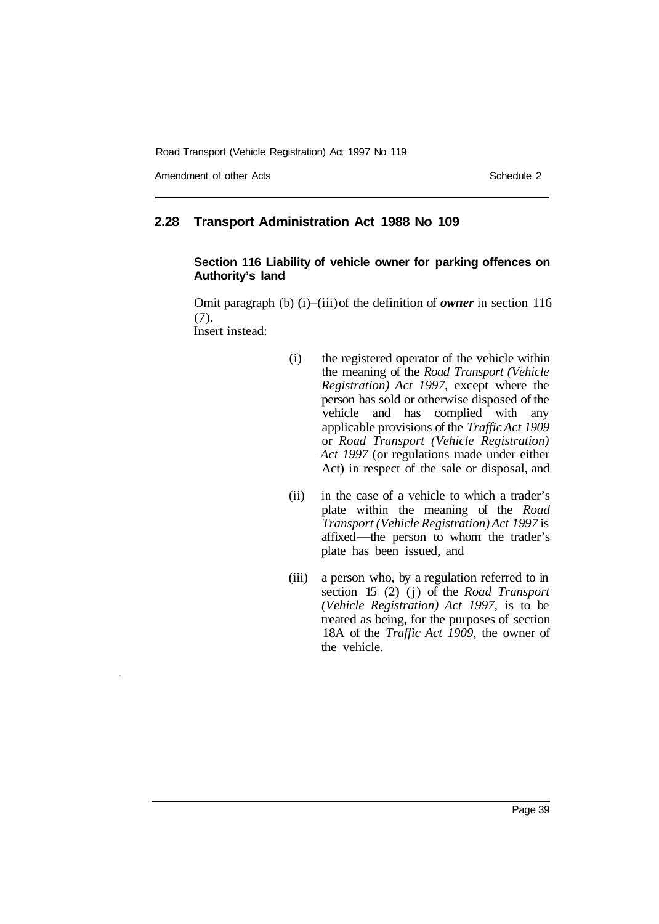Amendment of other Acts **Schedule 2** and the Schedule 2

### **2.28 Transport Administration Act 1988 No 109**

### **Section 116 Liability of vehicle owner for parking offences on Authority's land**

Omit paragraph (b) (i)–(iii) of the definition of *owner* in section 116 (7). Insert instead:

- (i) the registered operator of the vehicle within the meaning of the *Road Transport (Vehicle Registration) Act 1997,* except where the person has sold or otherwise disposed of the vehicle and has complied with any applicable provisions of the *Traffic Act 1909*  or *Road Transport (Vehicle Registration) Act 1997* (or regulations made under either Act) in respect of the sale or disposal, and
- (ii) in the case of a vehicle to which a trader's plate within the meaning of the *Road Transport (Vehicle Registration) Act 1997* is affixed-the person to whom the trader's plate has been issued, and
- (iii) a person who, by a regulation referred to in section 15 (2) (j) of the *Road Transport (Vehicle Registration) Act 1997,* is to be treated as being, for the purposes of section 18A of the *Traffic Act 1909,* the owner of the vehicle.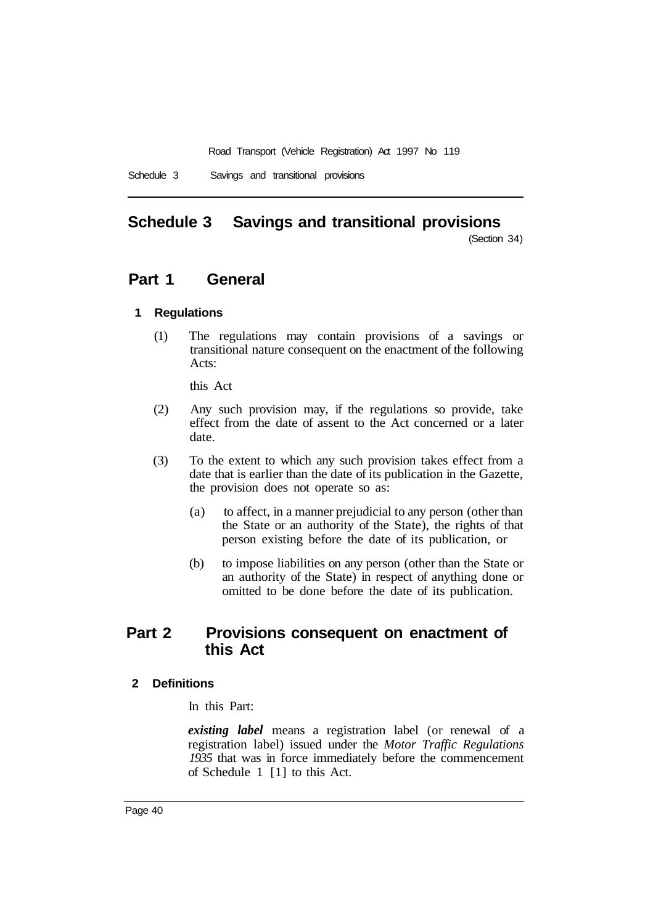# **Schedule 3 Savings and transitional provisions**

(Section 34)

# **Part 1 General**

### **1 Regulations**

(1) The regulations may contain provisions of a savings or transitional nature consequent on the enactment of the following Acts:

this Act

- (2) Any such provision may, if the regulations so provide, take effect from the date of assent to the Act concerned or a later date.
- (3) To the extent to which any such provision takes effect from a date that is earlier than the date of its publication in the Gazette, the provision does not operate so as:
	- (a) to affect, in a manner prejudicial to any person (other than the State or an authority of the State), the rights of that person existing before the date of its publication, or
	- (b) to impose liabilities on any person (other than the State or an authority of the State) in respect of anything done or omitted to be done before the date of its publication.

# **Part 2 Provisions consequent on enactment of this Act**

### **2 Definitions**

In this Part:

*existing label* means a registration label (or renewal of a registration label) issued under the *Motor Traffic Regulations 1935* that was in force immediately before the commencement of Schedule 1 [1] to this Act.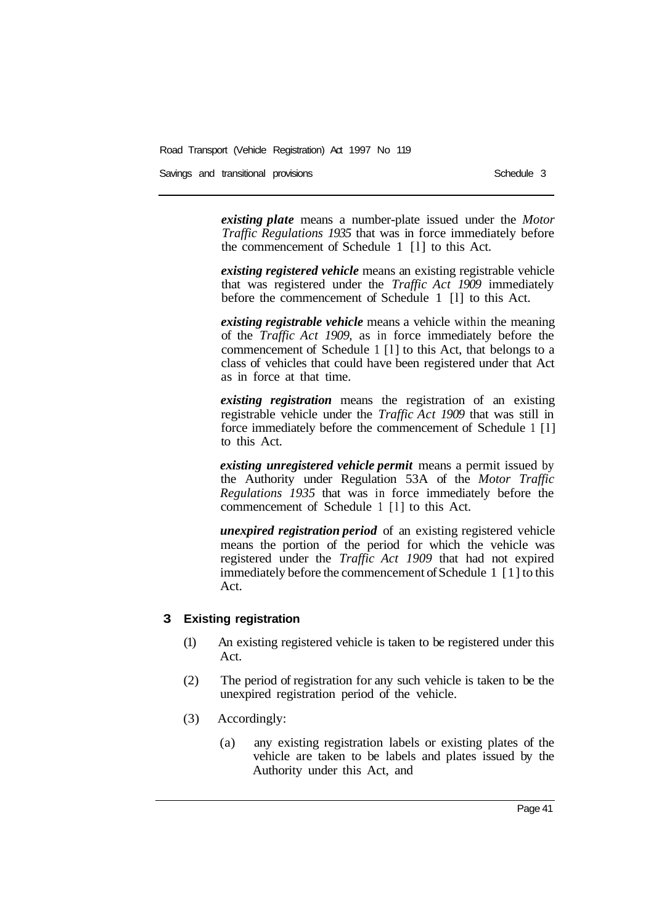Savings and transitional provisions Schedule 3 and transitional provisions Schedule 3

*existing plate* means a number-plate issued under the *Motor Traffic Regulations 1935* that was in force immediately before the commencement of Schedule 1 [l] to this Act.

*existing registered vehicle* means an existing registrable vehicle that was registered under the *Traffic Act 1909* immediately before the commencement of Schedule 1 [l] to this Act.

*existing registrable vehicle* means a vehicle within the meaning of the *Traffic Act 1909,* as in force immediately before the commencement of Schedule 1 [l] to this Act, that belongs to a class of vehicles that could have been registered under that Act as in force at that time.

*existing registration* means the registration of an existing registrable vehicle under the *Traffic Act 1909* that was still in force immediately before the commencement of Schedule 1 [l] to this Act.

*existing unregistered vehicle permit* means a permit issued by the Authority under Regulation 53A of the *Motor Traffic Regulations 1935* that was in force immediately before the commencement of Schedule 1 [l] to this Act.

*unexpired registration period* of an existing registered vehicle means the portion of the period for which the vehicle was registered under the *Traffic Act 1909* that had not expired immediately before the commencement of Schedule 1 [1] to this Act.

#### **3 Existing registration**

- (1) An existing registered vehicle is taken to be registered under this Act.
- (2) The period of registration for any such vehicle is taken to be the unexpired registration period of the vehicle.
- (3) Accordingly:
	- (a) any existing registration labels or existing plates of the vehicle are taken to be labels and plates issued by the Authority under this Act, and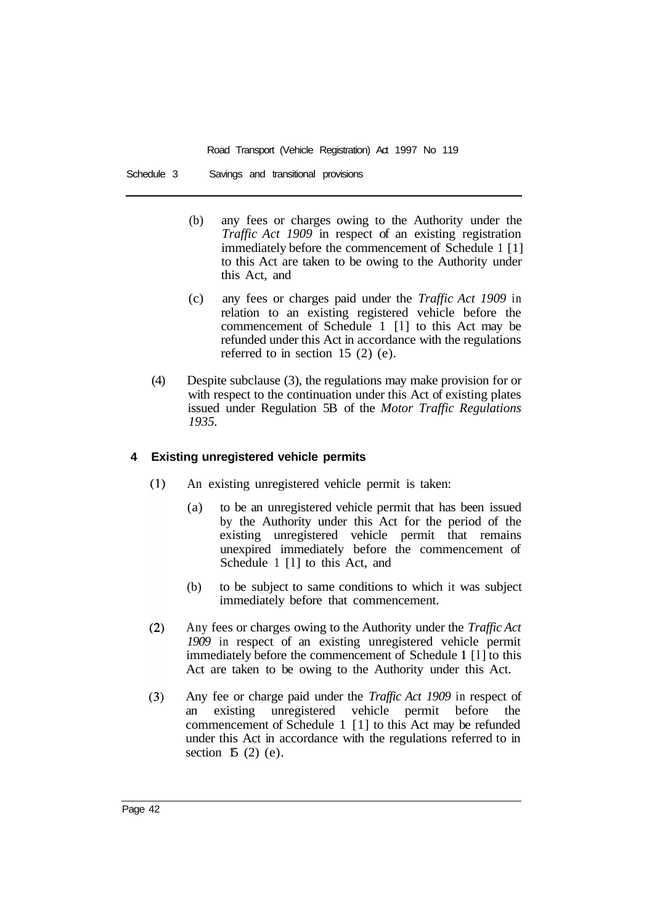Schedule 3 Savings and transitional provisions

- (b) any fees or charges owing to the Authority under the *Traffic Act 1909* in respect of an existing registration immediately before the commencement of Schedule 1 [1] to this Act are taken to be owing to the Authority under this Act, and
- (c) any fees or charges paid under the *Traffic Act 1909* in relation to an existing registered vehicle before the commencement of Schedule 1 [l] to this Act may be refunded under this Act in accordance with the regulations referred to in section 15 (2) (e).
- (4) Despite subclause (3), the regulations may make provision for or with respect to the continuation under this Act of existing plates issued under Regulation 5B of the *Motor Traffic Regulations 1935.*

### **4 Existing unregistered vehicle permits**

- $(1)$ An existing unregistered vehicle permit is taken:
	- (a) to be an unregistered vehicle permit that has been issued by the Authority under this Act for the period of the existing unregistered vehicle permit that remains unexpired immediately before the commencement of Schedule 1 [1] to this Act, and
	- (b) to be subject to same conditions to which it was subject immediately before that commencement.
- $(2)$ Any fees or charges owing to the Authority under the *Traffic Act 1909* in respect of an existing unregistered vehicle permit immediately before the commencement of Schedule **1** [l] to this Act are taken to be owing to the Authority under this Act.
- $(3)$ Any fee or charge paid under the *Traffic Act 1909* in respect of an existing unregistered vehicle permit before the commencement of Schedule 1 [1] to this Act may be refunded under this Act in accordance with the regulations referred to in section  $15(2)$  (e).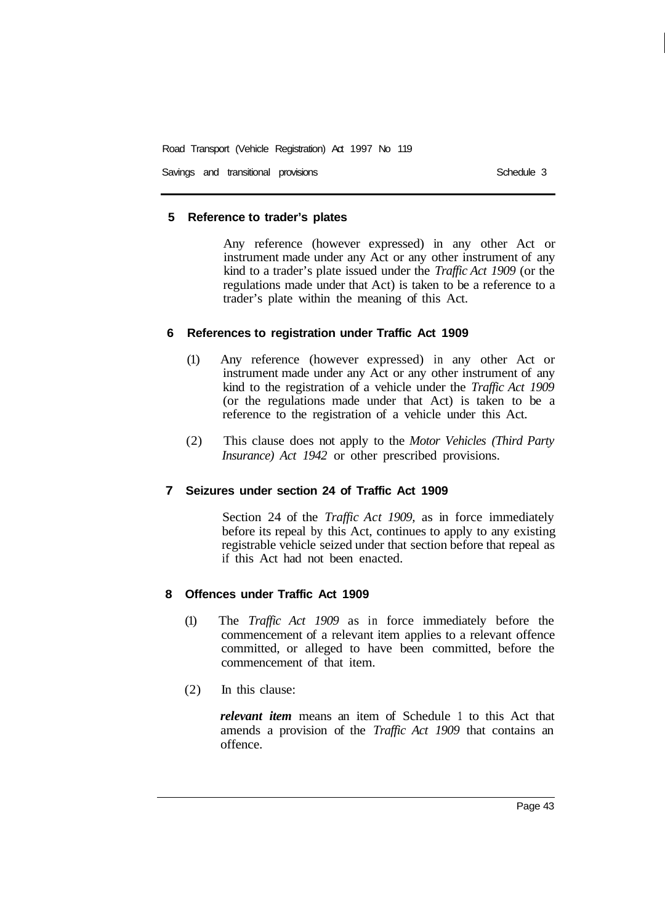Savings and transitional provisions Schedule 3 Schedule 3

### **5 Reference to trader's plates**

Any reference (however expressed) in any other Act or instrument made under any Act or any other instrument of any kind to a trader's plate issued under the *Traffic Act 1909* (or the regulations made under that Act) is taken to be a reference to a trader's plate within the meaning of this Act.

### **6 References to registration under Traffic Act 1909**

- (1) Any reference (however expressed) in any other Act or instrument made under any Act or any other instrument of any kind to the registration of a vehicle under the *Traffic Act 1909*  (or the regulations made under that Act) is taken to be a reference to the registration of a vehicle under this Act.
- (2) This clause does not apply to the *Motor Vehicles (Third Party Insurance) Act 1942* or other prescribed provisions.

### **7 Seizures under section 24 of Traffic Act 1909**

Section 24 of the *Traffic Act 1909,* as in force immediately before its repeal by this Act, continues to apply to any existing registrable vehicle seized under that section before that repeal as if this Act had not been enacted.

### **8 Offences under Traffic Act 1909**

- (1) The *Traffic Act 1909* as in force immediately before the commencement of a relevant item applies to a relevant offence committed, or alleged to have been committed, before the commencement of that item.
- (2) In this clause:

*relevant item* means an item of Schedule 1 to this Act that amends a provision of the *Traffic Act 1909* that contains an offence.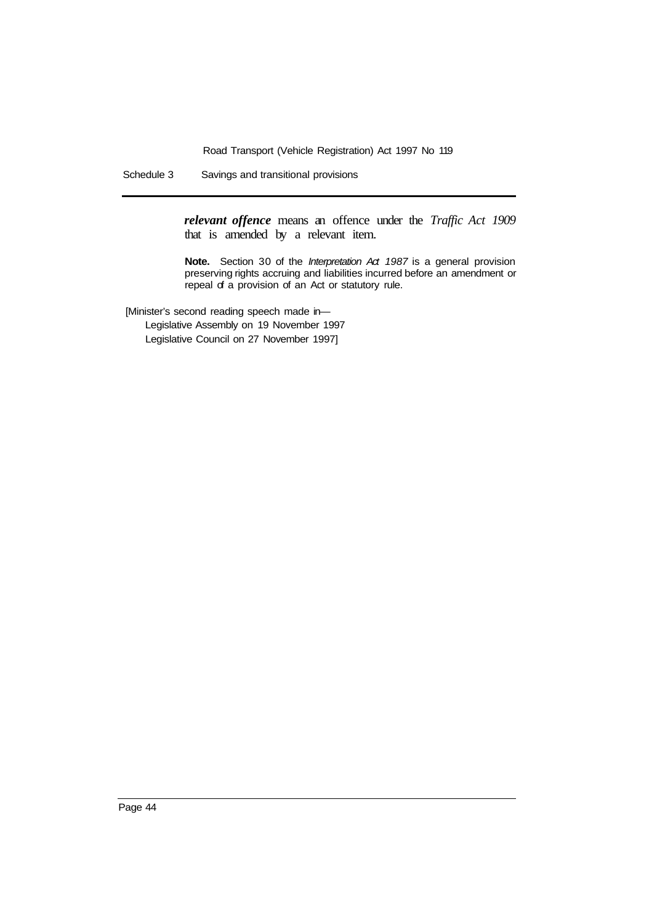Schedule 3 Savings and transitional provisions

*relevant offence* means an offence under the *Traffic Act 1909*  that is amended by a relevant item.

**Note.** Section 30 of the *Interpretation Act 1987* is a general provision preserving rights accruing and liabilities incurred before an amendment or repeal of a provision of an Act or statutory rule.

[Minister's second reading speech made in—

Legislative Assembly on 19 November 1997 Legislative Council on 27 November 1997]